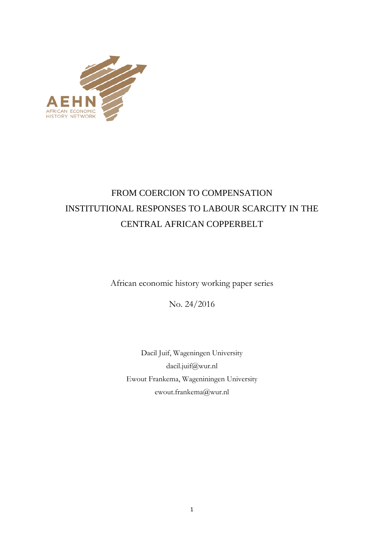

# FROM COERCION TO COMPENSATION INSTITUTIONAL RESPONSES TO LABOUR SCARCITY IN THE CENTRAL AFRICAN COPPERBELT

African economic history working paper series

No. 24/2016

Dacil Juif, Wageningen University dacil.juif@wur.nl Ewout Frankema, Wageniningen University ewout.frankema@wur.nl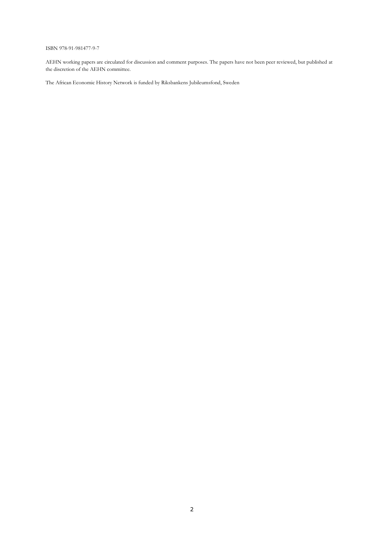#### ISBN 978-91-981477-9-7

AEHN working papers are circulated for discussion and comment purposes. The papers have not been peer reviewed, but published at the discretion of the AEHN committee.

The African Economic History Network is funded by Riksbankens Jubileumsfond, Sweden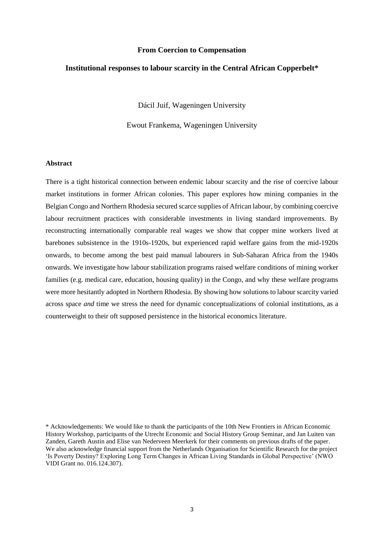#### **From Coercion to Compensation**

#### **Institutional responses to labour scarcity in the Central African Copperbelt\***

Dácil Juif, Wageningen University

Ewout Frankema, Wageningen University

#### **Abstract**

There is a tight historical connection between endemic labour scarcity and the rise of coercive labour market institutions in former African colonies. This paper explores how mining companies in the Belgian Congo and Northern Rhodesia secured scarce supplies of African labour, by combining coercive labour recruitment practices with considerable investments in living standard improvements. By reconstructing internationally comparable real wages we show that copper mine workers lived at barebones subsistence in the 1910s-1920s, but experienced rapid welfare gains from the mid-1920s onwards, to become among the best paid manual labourers in Sub-Saharan Africa from the 1940s onwards. We investigate how labour stabilization programs raised welfare conditions of mining worker families (e.g. medical care, education, housing quality) in the Congo, and why these welfare programs were more hesitantly adopted in Northern Rhodesia. By showing how solutions to labour scarcity varied across space *and* time we stress the need for dynamic conceptualizations of colonial institutions, as a counterweight to their oft supposed persistence in the historical economics literature.

<sup>\*</sup> Acknowledgements: We would like to thank the participants of the 10th New Frontiers in African Economic History Workshop, participants of the Utrecht Economic and Social History Group Seminar, and Jan Luiten van Zanden, Gareth Austin and Elise van Nederveen Meerkerk for their comments on previous drafts of the paper. We also acknowledge financial support from the Netherlands Organisation for Scientific Research for the project 'Is Poverty Destiny? Exploring Long Term Changes in African Living Standards in Global Perspective' (NWO VIDI Grant no. 016.124.307).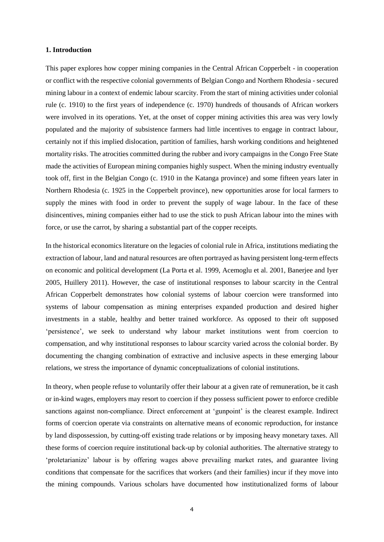## **1. Introduction**

This paper explores how copper mining companies in the Central African Copperbelt - in cooperation or conflict with the respective colonial governments of Belgian Congo and Northern Rhodesia - secured mining labour in a context of endemic labour scarcity. From the start of mining activities under colonial rule (c. 1910) to the first years of independence (c. 1970) hundreds of thousands of African workers were involved in its operations. Yet, at the onset of copper mining activities this area was very lowly populated and the majority of subsistence farmers had little incentives to engage in contract labour, certainly not if this implied dislocation, partition of families, harsh working conditions and heightened mortality risks. The atrocities committed during the rubber and ivory campaigns in the Congo Free State made the activities of European mining companies highly suspect. When the mining industry eventually took off, first in the Belgian Congo (c. 1910 in the Katanga province) and some fifteen years later in Northern Rhodesia (c. 1925 in the Copperbelt province), new opportunities arose for local farmers to supply the mines with food in order to prevent the supply of wage labour. In the face of these disincentives, mining companies either had to use the stick to push African labour into the mines with force, or use the carrot, by sharing a substantial part of the copper receipts.

In the historical economics literature on the legacies of colonial rule in Africa, institutions mediating the extraction of labour, land and natural resources are often portrayed as having persistent long-term effects on economic and political development (La Porta et al. 1999, Acemoglu et al. 2001, Banerjee and Iyer 2005, Huillery 2011). However, the case of institutional responses to labour scarcity in the Central African Copperbelt demonstrates how colonial systems of labour coercion were transformed into systems of labour compensation as mining enterprises expanded production and desired higher investments in a stable, healthy and better trained workforce. As opposed to their oft supposed 'persistence', we seek to understand why labour market institutions went from coercion to compensation, and why institutional responses to labour scarcity varied across the colonial border. By documenting the changing combination of extractive and inclusive aspects in these emerging labour relations, we stress the importance of dynamic conceptualizations of colonial institutions.

In theory, when people refuse to voluntarily offer their labour at a given rate of remuneration, be it cash or in-kind wages, employers may resort to coercion if they possess sufficient power to enforce credible sanctions against non-compliance. Direct enforcement at 'gunpoint' is the clearest example. Indirect forms of coercion operate via constraints on alternative means of economic reproduction, for instance by land dispossession, by cutting-off existing trade relations or by imposing heavy monetary taxes. All these forms of coercion require institutional back-up by colonial authorities. The alternative strategy to 'proletarianize' labour is by offering wages above prevailing market rates, and guarantee living conditions that compensate for the sacrifices that workers (and their families) incur if they move into the mining compounds. Various scholars have documented how institutionalized forms of labour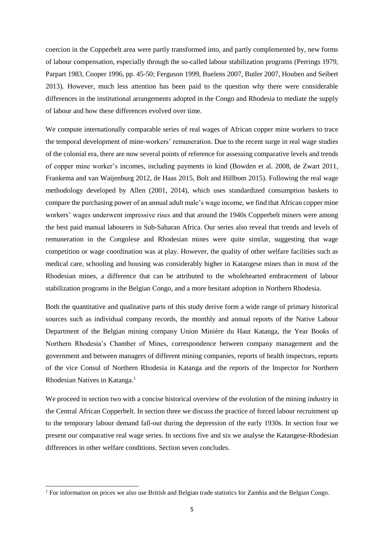coercion in the Copperbelt area were partly transformed into, and partly complemented by, new forms of labour compensation, especially through the so-called labour stabilization programs (Perrings 1979, Parpart 1983, Cooper 1996, pp. 45-50; Ferguson 1999, Buelens 2007, Butler 2007, Houben and Seibert 2013). However, much less attention has been paid to the question why there were considerable differences in the institutional arrangements adopted in the Congo and Rhodesia to mediate the supply of labour and how these differences evolved over time.

We compute internationally comparable series of real wages of African copper mine workers to trace the temporal development of mine-workers' remuneration. Due to the recent surge in real wage studies of the colonial era, there are now several points of reference for assessing comparative levels and trends of copper mine worker's incomes, including payments in kind (Bowden et al. 2008, de Zwart 2011, Frankema and van Waijenburg 2012, de Haas 2015, Bolt and Hillbom 2015). Following the real wage methodology developed by Allen (2001, 2014), which uses standardized consumption baskets to compare the purchasing power of an annual adult male's wage income, we find that African copper mine workers' wages underwent impressive rises and that around the 1940s Copperbelt miners were among the best paid manual labourers in Sub-Saharan Africa. Our series also reveal that trends and levels of remuneration in the Congolese and Rhodesian mines were quite similar, suggesting that wage competition or wage coordination was at play. However, the quality of other welfare facilities such as medical care, schooling and housing was considerably higher in Katangese mines than in most of the Rhodesian mines, a difference that can be attributed to the wholehearted embracement of labour stabilization programs in the Belgian Congo, and a more hesitant adoption in Northern Rhodesia.

Both the quantitative and qualitative parts of this study derive form a wide range of primary historical sources such as individual company records, the monthly and annual reports of the Native Labour Department of the Belgian mining company Union Minière du Haut Katanga, the Year Books of Northern Rhodesia's Chamber of Mines, correspondence between company management and the government and between managers of different mining companies, reports of health inspectors, reports of the vice Consul of Northern Rhodesia in Katanga and the reports of the Inspector for Northern Rhodesian Natives in Katanga. 1

We proceed in section two with a concise historical overview of the evolution of the mining industry in the Central African Copperbelt. In section three we discuss the practice of forced labour recruitment up to the temporary labour demand fall-out during the depression of the early 1930s. In section four we present our comparative real wage series. In sections five and six we analyse the Katangese-Rhodesian differences in other welfare conditions. Section seven concludes.

<sup>&</sup>lt;sup>1</sup> For information on prices we also use British and Belgian trade statistics for Zambia and the Belgian Congo.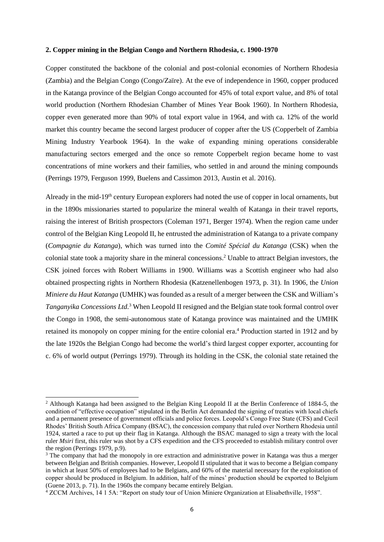#### **2. Copper mining in the Belgian Congo and Northern Rhodesia, c. 1900-1970**

Copper constituted the backbone of the colonial and post-colonial economies of Northern Rhodesia (Zambia) and the Belgian Congo (Congo/Zaïre). At the eve of independence in 1960, copper produced in the Katanga province of the Belgian Congo accounted for 45% of total export value, and 8% of total world production (Northern Rhodesian Chamber of Mines Year Book 1960). In Northern Rhodesia, copper even generated more than 90% of total export value in 1964, and with ca. 12% of the world market this country became the second largest producer of copper after the US (Copperbelt of Zambia Mining Industry Yearbook 1964). In the wake of expanding mining operations considerable manufacturing sectors emerged and the once so remote Copperbelt region became home to vast concentrations of mine workers and their families, who settled in and around the mining compounds (Perrings 1979, Ferguson 1999, Buelens and Cassimon 2013, Austin et al. 2016).

Already in the mid-19th century European explorers had noted the use of copper in local ornaments, but in the 1890s missionaries started to popularize the mineral wealth of Katanga in their travel reports, raising the interest of British prospectors (Coleman 1971, Berger 1974). When the region came under control of the Belgian King Leopold II, he entrusted the administration of Katanga to a private company (*Compagnie du Katanga*), which was turned into the *Comité Spécial du Katanga* (CSK) when the colonial state took a majority share in the mineral concessions. <sup>2</sup> Unable to attract Belgian investors, the CSK joined forces with Robert Williams in 1900. Williams was a Scottish engineer who had also obtained prospecting rights in Northern Rhodesia (Katzenellenbogen 1973, p. 31). In 1906, the *Union Miniere du Haut Katanga* (UMHK) was founded as a result of a merger between the CSK and William's *Tanganyika Concessions Ltd.* <sup>3</sup> When Leopold II resigned and the Belgian state took formal control over the Congo in 1908, the semi-autonomous state of Katanga province was maintained and the UMHK retained its monopoly on copper mining for the entire colonial era. <sup>4</sup> Production started in 1912 and by the late 1920s the Belgian Congo had become the world's third largest copper exporter, accounting for c. 6% of world output (Perrings 1979). Through its holding in the CSK, the colonial state retained the

<sup>2</sup> Although Katanga had been assigned to the Belgian King Leopold II at the Berlin Conference of 1884-5, the condition of "effective occupation" stipulated in the Berlin Act demanded the signing of treaties with local chiefs and a permanent presence of government officials and police forces. Leopold's Congo Free State (CFS) and Cecil Rhodes' British South Africa Company (BSAC), the concession company that ruled over Northern Rhodesia until 1924, started a race to put up their flag in Katanga. Although the BSAC managed to sign a treaty with the local ruler *Msiri* first, this ruler was shot by a CFS expedition and the CFS proceeded to establish military control over the region (Perrings 1979, p.9).

<sup>&</sup>lt;sup>3</sup> The company that had the monopoly in ore extraction and administrative power in Katanga was thus a merger between Belgian and British companies. However, Leopold II stipulated that it was to become a Belgian company in which at least 50% of employees had to be Belgians, and 60% of the material necessary for the exploitation of copper should be produced in Belgium. In addition, half of the mines' production should be exported to Belgium (Guene 2013, p. 71). In the 1960s the company became entirely Belgian.

<sup>4</sup> ZCCM Archives, 14 1 5A: "Report on study tour of Union Miniere Organization at Elisabethville, 1958".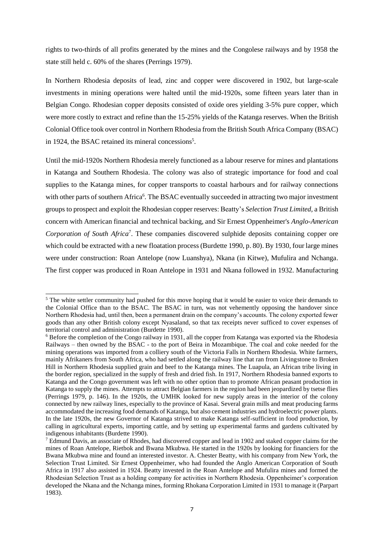rights to two-thirds of all profits generated by the mines and the Congolese railways and by 1958 the state still held c. 60% of the shares (Perrings 1979).

In Northern Rhodesia deposits of lead, zinc and copper were discovered in 1902, but large-scale investments in mining operations were halted until the mid-1920s, some fifteen years later than in Belgian Congo. Rhodesian copper deposits consisted of oxide ores yielding 3-5% pure copper, which were more costly to extract and refine than the 15-25% yields of the Katanga reserves. When the British Colonial Office took over control in Northern Rhodesia from the British South Africa Company (BSAC) in 1924, the BSAC retained its mineral concessions<sup>5</sup>.

Until the mid-1920s Northern Rhodesia merely functioned as a labour reserve for mines and plantations in Katanga and Southern Rhodesia. The colony was also of strategic importance for food and coal supplies to the Katanga mines, for copper transports to coastal harbours and for railway connections with other parts of southern Africa<sup>6</sup>. The BSAC eventually succeeded in attracting two major investment groups to prospect and exploit the Rhodesian copper reserves: Beatty's *Selection Trust Limited,* a British concern with American financial and technical backing, and Sir Ernest Oppenheimer's *Anglo-American Corporation of South Africa*<sup>7</sup> . These companies discovered sulphide deposits containing copper ore which could be extracted with a new floatation process (Burdette 1990, p. 80). By 1930, four large mines were under construction: Roan Antelope (now Luanshya), Nkana (in Kitwe), Mufulira and Nchanga. The first copper was produced in Roan Antelope in 1931 and Nkana followed in 1932. Manufacturing

<sup>&</sup>lt;sup>5</sup> The white settler community had pushed for this move hoping that it would be easier to voice their demands to the Colonial Office than to the BSAC. The BSAC in turn, was not vehemently opposing the handover since Northern Rhodesia had, until then, been a permanent drain on the company's accounts. The colony exported fewer goods than any other British colony except Nyasaland, so that tax receipts never sufficed to cover expenses of territorial control and administration (Burdette 1990).

<sup>6</sup> Before the completion of the Congo railway in 1931, all the copper from Katanga was exported via the Rhodesia Railways – then owned by the BSAC - to the port of Beira in Mozambique. The coal and coke needed for the mining operations was imported from a colliery south of the Victoria Falls in Northern Rhodesia. White farmers, mainly Afrikaners from South Africa, who had settled along the railway line that ran from Livingstone to Broken Hill in Northern Rhodesia supplied grain and beef to the Katanga mines. The Luapula, an African tribe living in the border region, specialized in the supply of fresh and dried fish. In 1917, Northern Rhodesia banned exports to Katanga and the Congo government was left with no other option than to promote African peasant production in Katanga to supply the mines. Attempts to attract Belgian farmers in the region had been jeopardized by tsetse flies (Perrings 1979, p. 146). In the 1920s, the UMHK looked for new supply areas in the interior of the colony connected by new railway lines, especially to the province of Kasai. Several grain mills and meat producing farms accommodated the increasing food demands of Katanga, but also cement industries and hydroelectric power plants. In the late 1920s, the new Governor of Katanga strived to make Katanga self-sufficient in food production, by calling in agricultural experts, importing cattle, and by setting up experimental farms and gardens cultivated by indigenous inhabitants (Burdette 1990).

<sup>7</sup> Edmund Davis, an associate of Rhodes, had discovered copper and lead in 1902 and staked copper claims for the mines of Roan Antelope, Rietbok and Bwana Mkubwa. He started in the 1920s by looking for financiers for the Bwana Mkubwa mine and found an interested investor. A. Chester Beatty, with his company from New York, the Selection Trust Limited. Sir Ernest Oppenheimer, who had founded the Anglo American Corporation of South Africa in 1917 also assisted in 1924. Beatty invested in the Roan Antelope and Mufulira mines and formed the Rhodesian Selection Trust as a holding company for activities in Northern Rhodesia. Oppenheimer's corporation developed the Nkana and the Nchanga mines, forming Rhokana Corporation Limited in 1931 to manage it (Parpart 1983).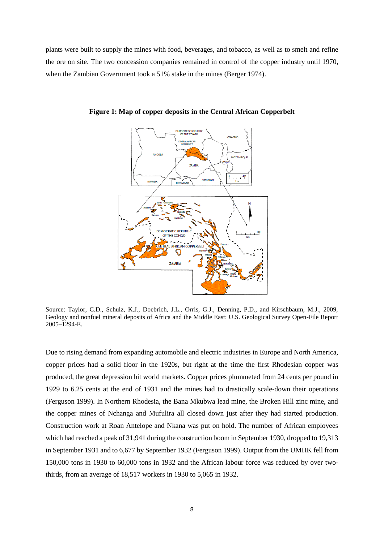plants were built to supply the mines with food, beverages, and tobacco, as well as to smelt and refine the ore on site. The two concession companies remained in control of the copper industry until 1970, when the Zambian Government took a 51% stake in the mines (Berger 1974).



**Figure 1: Map of copper deposits in the Central African Copperbelt**

Source: Taylor, C.D., Schulz, K.J., Doebrich, J.L., Orris, G.J., Denning, P.D., and Kirschbaum, M.J., 2009, Geology and nonfuel mineral deposits of Africa and the Middle East: U.S. Geological Survey Open-File Report 2005–1294-E.

Due to rising demand from expanding automobile and electric industries in Europe and North America, copper prices had a solid floor in the 1920s, but right at the time the first Rhodesian copper was produced, the great depression hit world markets. Copper prices plummeted from 24 cents per pound in 1929 to 6.25 cents at the end of 1931 and the mines had to drastically scale-down their operations (Ferguson 1999). In Northern Rhodesia, the Bana Mkubwa lead mine, the Broken Hill zinc mine, and the copper mines of Nchanga and Mufulira all closed down just after they had started production. Construction work at Roan Antelope and Nkana was put on hold. The number of African employees which had reached a peak of 31,941 during the construction boom in September 1930, dropped to 19,313 in September 1931 and to 6,677 by September 1932 (Ferguson 1999). Output from the UMHK fell from 150,000 tons in 1930 to 60,000 tons in 1932 and the African labour force was reduced by over twothirds, from an average of 18,517 workers in 1930 to 5,065 in 1932.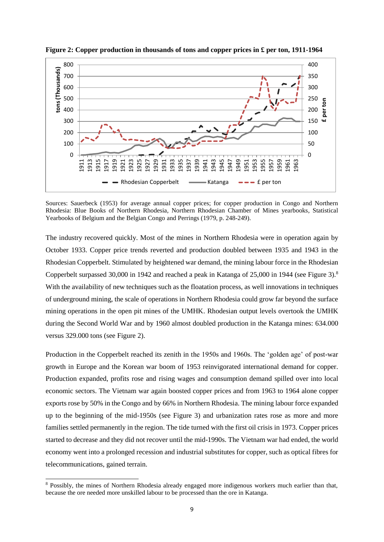

**Figure 2: Copper production in thousands of tons and copper prices in £ per ton, 1911-1964**

Sources: Sauerbeck (1953) for average annual copper prices; for copper production in Congo and Northern Rhodesia: Blue Books of Northern Rhodesia, Northern Rhodesian Chamber of Mines yearbooks, Statistical Yearbooks of Belgium and the Belgian Congo and Perrings (1979, p. 248-249).

The industry recovered quickly. Most of the mines in Northern Rhodesia were in operation again by October 1933. Copper price trends reverted and production doubled between 1935 and 1943 in the Rhodesian Copperbelt. Stimulated by heightened war demand, the mining labour force in the Rhodesian Copperbelt surpassed 30,000 in 1942 and reached a peak in Katanga of 25,000 in 1944 (see Figure 3).<sup>8</sup> With the availability of new techniques such as the floatation process, as well innovations in techniques of underground mining, the scale of operations in Northern Rhodesia could grow far beyond the surface mining operations in the open pit mines of the UMHK. Rhodesian output levels overtook the UMHK during the Second World War and by 1960 almost doubled production in the Katanga mines: 634.000 versus 329.000 tons (see Figure 2).

Production in the Copperbelt reached its zenith in the 1950s and 1960s. The 'golden age' of post-war growth in Europe and the Korean war boom of 1953 reinvigorated international demand for copper. Production expanded, profits rose and rising wages and consumption demand spilled over into local economic sectors. The Vietnam war again boosted copper prices and from 1963 to 1964 alone copper exports rose by 50% in the Congo and by 66% in Northern Rhodesia. The mining labour force expanded up to the beginning of the mid-1950s (see Figure 3) and urbanization rates rose as more and more families settled permanently in the region. The tide turned with the first oil crisis in 1973. Copper prices started to decrease and they did not recover until the mid-1990s. The Vietnam war had ended, the world economy went into a prolonged recession and industrial substitutes for copper, such as optical fibres for telecommunications, gained terrain.

 Possibly, the mines of Northern Rhodesia already engaged more indigenous workers much earlier than that, because the ore needed more unskilled labour to be processed than the ore in Katanga.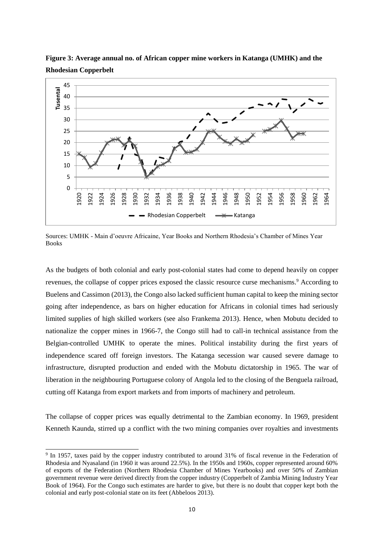

**Figure 3: Average annual no. of African copper mine workers in Katanga (UMHK) and the Rhodesian Copperbelt**

Sources: UMHK - Main d'oeuvre Africaine, Year Books and Northern Rhodesia's Chamber of Mines Year Books

As the budgets of both colonial and early post-colonial states had come to depend heavily on copper revenues, the collapse of copper prices exposed the classic resource curse mechanisms. <sup>9</sup> According to Buelens and Cassimon (2013), the Congo also lacked sufficient human capital to keep the mining sector going after independence, as bars on higher education for Africans in colonial times had seriously limited supplies of high skilled workers (see also Frankema 2013). Hence, when Mobutu decided to nationalize the copper mines in 1966-7, the Congo still had to call-in technical assistance from the Belgian-controlled UMHK to operate the mines. Political instability during the first years of independence scared off foreign investors. The Katanga secession war caused severe damage to infrastructure, disrupted production and ended with the Mobutu dictatorship in 1965. The war of liberation in the neighbouring Portuguese colony of Angola led to the closing of the Benguela railroad, cutting off Katanga from export markets and from imports of machinery and petroleum.

The collapse of copper prices was equally detrimental to the Zambian economy. In 1969, president Kenneth Kaunda, stirred up a conflict with the two mining companies over royalties and investments

<sup>&</sup>lt;sup>9</sup> In 1957, taxes paid by the copper industry contributed to around 31% of fiscal revenue in the Federation of Rhodesia and Nyasaland (in 1960 it was around 22.5%). In the 1950s and 1960s, copper represented around 60% of exports of the Federation (Northern Rhodesia Chamber of Mines Yearbooks) and over 50% of Zambian government revenue were derived directly from the copper industry (Copperbelt of Zambia Mining Industry Year Book of 1964). For the Congo such estimates are harder to give, but there is no doubt that copper kept both the colonial and early post-colonial state on its feet (Abbeloos 2013).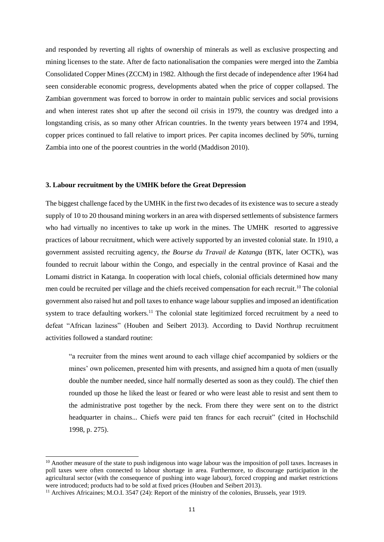and responded by reverting all rights of ownership of minerals as well as exclusive prospecting and mining licenses to the state. After de facto nationalisation the companies were merged into the Zambia Consolidated Copper Mines (ZCCM) in 1982. Although the first decade of independence after 1964 had seen considerable economic progress, developments abated when the price of copper collapsed. The Zambian government was forced to borrow in order to maintain public services and social provisions and when interest rates shot up after the second oil crisis in 1979, the country was dredged into a longstanding crisis, as so many other African countries. In the twenty years between 1974 and 1994, copper prices continued to fall relative to import prices. Per capita incomes declined by 50%, turning Zambia into one of the poorest countries in the world (Maddison 2010).

#### **3. Labour recruitment by the UMHK before the Great Depression**

The biggest challenge faced by the UMHK in the first two decades of its existence was to secure a steady supply of 10 to 20 thousand mining workers in an area with dispersed settlements of subsistence farmers who had virtually no incentives to take up work in the mines. The UMHK resorted to aggressive practices of labour recruitment, which were actively supported by an invested colonial state. In 1910, a government assisted recruiting agency, *the Bourse du Travail de Katanga* (BTK, later OCTK), was founded to recruit labour within the Congo, and especially in the central province of Kasai and the Lomami district in Katanga. In cooperation with local chiefs, colonial officials determined how many men could be recruited per village and the chiefs received compensation for each recruit.<sup>10</sup> The colonial government also raised hut and poll taxes to enhance wage labour supplies and imposed an identification system to trace defaulting workers.<sup>11</sup> The colonial state legitimized forced recruitment by a need to defeat "African laziness" (Houben and Seibert 2013). According to David Northrup recruitment activities followed a standard routine:

"a recruiter from the mines went around to each village chief accompanied by soldiers or the mines' own policemen, presented him with presents, and assigned him a quota of men (usually double the number needed, since half normally deserted as soon as they could). The chief then rounded up those he liked the least or feared or who were least able to resist and sent them to the administrative post together by the neck. From there they were sent on to the district headquarter in chains... Chiefs were paid ten francs for each recruit" (cited in Hochschild 1998, p. 275).

<sup>&</sup>lt;sup>10</sup> Another measure of the state to push indigenous into wage labour was the imposition of poll taxes. Increases in poll taxes were often connected to labour shortage in area. Furthermore, to discourage participation in the agricultural sector (with the consequence of pushing into wage labour), forced cropping and market restrictions were introduced; products had to be sold at fixed prices (Houben and Seibert 2013).

<sup>&</sup>lt;sup>11</sup> Archives Africaines; M.O.I. 3547 (24): Report of the ministry of the colonies, Brussels, year 1919.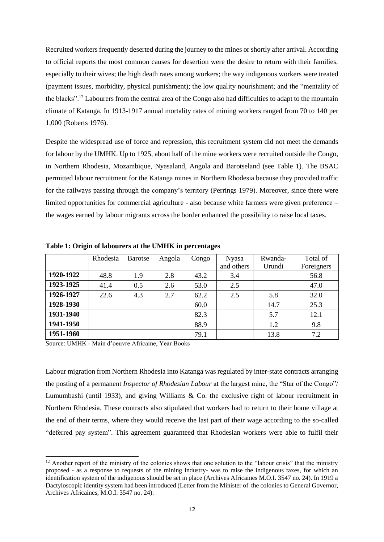Recruited workers frequently deserted during the journey to the mines or shortly after arrival. According to official reports the most common causes for desertion were the desire to return with their families, especially to their wives; the high death rates among workers; the way indigenous workers were treated (payment issues, morbidity, physical punishment); the low quality nourishment; and the "mentality of the blacks".<sup>12</sup> Labourers from the central area of the Congo also had difficulties to adapt to the mountain climate of Katanga. In 1913-1917 annual mortality rates of mining workers ranged from 70 to 140 per 1,000 (Roberts 1976).

Despite the widespread use of force and repression, this recruitment system did not meet the demands for labour by the UMHK. Up to 1925, about half of the mine workers were recruited outside the Congo, in Northern Rhodesia, Mozambique, Nyasaland, Angola and Barotseland (see Table 1). The BSAC permitted labour recruitment for the Katanga mines in Northern Rhodesia because they provided traffic for the railways passing through the company's territory (Perrings 1979). Moreover, since there were limited opportunities for commercial agriculture - also because white farmers were given preference – the wages earned by labour migrants across the border enhanced the possibility to raise local taxes.

|           | Rhodesia | Barotse | Angola | Congo | <b>Nyasa</b> | Rwanda- | Total of   |
|-----------|----------|---------|--------|-------|--------------|---------|------------|
|           |          |         |        |       | and others   | Urundi  | Foreigners |
| 1920-1922 | 48.8     | 1.9     | 2.8    | 43.2  | 3.4          |         | 56.8       |
| 1923-1925 | 41.4     | 0.5     | 2.6    | 53.0  | 2.5          |         | 47.0       |
| 1926-1927 | 22.6     | 4.3     | 2.7    | 62.2  | 2.5          | 5.8     | 32.0       |
| 1928-1930 |          |         |        | 60.0  |              | 14.7    | 25.3       |
| 1931-1940 |          |         |        | 82.3  |              | 5.7     | 12.1       |
| 1941-1950 |          |         |        | 88.9  |              | 1.2     | 9.8        |
| 1951-1960 |          |         |        | 79.1  |              | 13.8    | 7.2        |

**Table 1: Origin of labourers at the UMHK in percentages**

Source: UMHK - Main d'oeuvre Africaine, Year Books

-

Labour migration from Northern Rhodesia into Katanga was regulated by inter-state contracts arranging the posting of a permanent *Inspector of Rhodesian Labour* at the largest mine, the "Star of the Congo"/ Lumumbashi (until 1933), and giving Williams & Co. the exclusive right of labour recruitment in Northern Rhodesia. These contracts also stipulated that workers had to return to their home village at the end of their terms, where they would receive the last part of their wage according to the so-called "deferred pay system". This agreement guaranteed that Rhodesian workers were able to fulfil their

 $12$  Another report of the ministry of the colonies shows that one solution to the "labour crisis" that the ministry proposed - as a response to requests of the mining industry- was to raise the indigenous taxes, for which an identification system of the indigenous should be set in place (Archives Africaines M.O.I. 3547 no. 24). In 1919 a Dactyloscopic identity system had been introduced (Letter from the Minister of the colonies to General Governor, Archives Africaines, M.O.I. 3547 no. 24).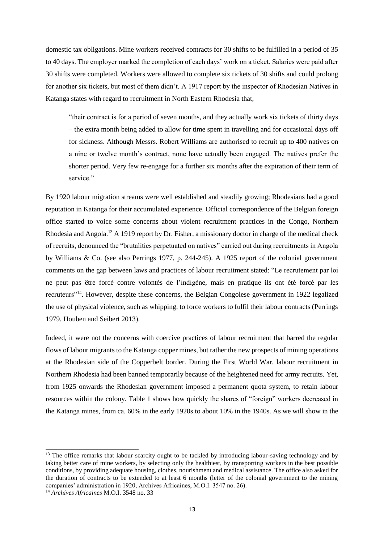domestic tax obligations. Mine workers received contracts for 30 shifts to be fulfilled in a period of 35 to 40 days. The employer marked the completion of each days' work on a ticket. Salaries were paid after 30 shifts were completed. Workers were allowed to complete six tickets of 30 shifts and could prolong for another six tickets, but most of them didn't. A 1917 report by the inspector of Rhodesian Natives in Katanga states with regard to recruitment in North Eastern Rhodesia that,

"their contract is for a period of seven months, and they actually work six tickets of thirty days – the extra month being added to allow for time spent in travelling and for occasional days off for sickness. Although Messrs. Robert Williams are authorised to recruit up to 400 natives on a nine or twelve month's contract, none have actually been engaged. The natives prefer the shorter period. Very few re-engage for a further six months after the expiration of their term of service."

By 1920 labour migration streams were well established and steadily growing; Rhodesians had a good reputation in Katanga for their accumulated experience. Official correspondence of the Belgian foreign office started to voice some concerns about violent recruitment practices in the Congo, Northern Rhodesia and Angola.<sup>13</sup> A 1919 report by Dr. Fisher, a missionary doctor in charge of the medical check of recruits, denounced the "brutalities perpetuated on natives" carried out during recruitments in Angola by Williams & Co. (see also Perrings 1977, p. 244-245). A 1925 report of the colonial government comments on the gap between laws and practices of labour recruitment stated: "Le recrutement par loi ne peut pas être forcé contre volontés de l'indigène, mais en pratique ils ont été forcé par les recruteurs"<sup>14</sup>. However, despite these concerns, the Belgian Congolese government in 1922 legalized the use of physical violence, such as whipping, to force workers to fulfil their labour contracts (Perrings 1979, Houben and Seibert 2013).

Indeed, it were not the concerns with coercive practices of labour recruitment that barred the regular flows of labour migrants to the Katanga copper mines, but rather the new prospects of mining operations at the Rhodesian side of the Copperbelt border. During the First World War, labour recruitment in Northern Rhodesia had been banned temporarily because of the heightened need for army recruits. Yet, from 1925 onwards the Rhodesian government imposed a permanent quota system, to retain labour resources within the colony. Table 1 shows how quickly the shares of "foreign" workers decreased in the Katanga mines, from ca. 60% in the early 1920s to about 10% in the 1940s. As we will show in the

<sup>&</sup>lt;sup>13</sup> The office remarks that labour scarcity ought to be tackled by introducing labour-saving technology and by taking better care of mine workers, by selecting only the healthiest, by transporting workers in the best possible conditions, by providing adequate housing, clothes, nourishment and medical assistance. The office also asked for the duration of contracts to be extended to at least 6 months (letter of the colonial government to the mining companies' administration in 1920, Archives Africaines, M.O.I. 3547 no. 26).

<sup>14</sup> *Archives Africaines* M.O.I. 3548 no. 33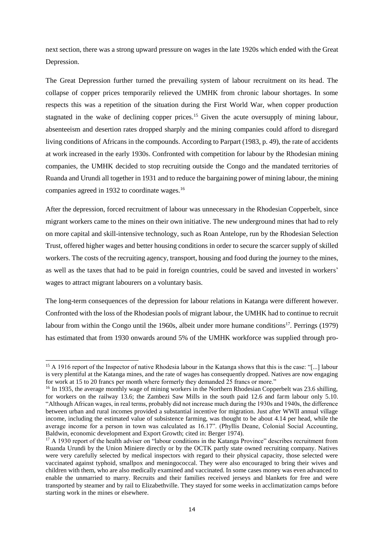next section, there was a strong upward pressure on wages in the late 1920s which ended with the Great Depression.

The Great Depression further turned the prevailing system of labour recruitment on its head. The collapse of copper prices temporarily relieved the UMHK from chronic labour shortages. In some respects this was a repetition of the situation during the First World War, when copper production stagnated in the wake of declining copper prices.<sup>15</sup> Given the acute oversupply of mining labour, absenteeism and desertion rates dropped sharply and the mining companies could afford to disregard living conditions of Africans in the compounds. According to Parpart (1983, p. 49), the rate of accidents at work increased in the early 1930s. Confronted with competition for labour by the Rhodesian mining companies, the UMHK decided to stop recruiting outside the Congo and the mandated territories of Ruanda and Urundi all together in 1931 and to reduce the bargaining power of mining labour, the mining companies agreed in 1932 to coordinate wages.<sup>16</sup>

After the depression, forced recruitment of labour was unnecessary in the Rhodesian Copperbelt, since migrant workers came to the mines on their own initiative. The new underground mines that had to rely on more capital and skill-intensive technology, such as Roan Antelope, run by the Rhodesian Selection Trust, offered higher wages and better housing conditions in order to secure the scarcer supply of skilled workers. The costs of the recruiting agency, transport, housing and food during the journey to the mines, as well as the taxes that had to be paid in foreign countries, could be saved and invested in workers' wages to attract migrant labourers on a voluntary basis.

The long-term consequences of the depression for labour relations in Katanga were different however. Confronted with the loss of the Rhodesian pools of migrant labour, the UMHK had to continue to recruit labour from within the Congo until the 1960s, albeit under more humane conditions<sup>17</sup>. Perrings (1979) has estimated that from 1930 onwards around 5% of the UMHK workforce was supplied through pro-

<sup>&</sup>lt;sup>15</sup> A 1916 report of the Inspector of native Rhodesia labour in the Katanga shows that this is the case: "[...] labour is very plentiful at the Katanga mines, and the rate of wages has consequently dropped. Natives are now engaging for work at 15 to 20 francs per month where formerly they demanded 25 francs or more."

<sup>&</sup>lt;sup>16</sup> In 1935, the average monthly wage of mining workers in the Northern Rhodesian Copperbelt was 23.6 shilling, for workers on the railway 13.6; the Zambezi Saw Mills in the south paid 12.6 and farm labour only 5.10. "Although African wages, in real terms, probably did not increase much during the 1930s and 1940s, the difference between urban and rural incomes provided a substantial incentive for migration. Just after WWII annual village income, including the estimated value of subsistence farming, was thought to be about 4.14 per head, while the average income for a person in town was calculated as 16.17". (Phyllis Deane, Colonial Social Accounting, Baldwin, economic development and Export Growth; cited in: Berger 1974).

<sup>&</sup>lt;sup>17</sup> A 1930 report of the health adviser on "labour conditions in the Katanga Province" describes recruitment from Ruanda Urundi by the Union Miniere directly or by the OCTK partly state owned recruiting company. Natives were very carefully selected by medical inspectors with regard to their physical capacity, those selected were vaccinated against typhoid, smallpox and meningococcal. They were also encouraged to bring their wives and children with them, who are also medically examined and vaccinated. In some cases money was even advanced to enable the unmarried to marry. Recruits and their families received jerseys and blankets for free and were transported by steamer and by rail to Elizabethville. They stayed for some weeks in acclimatization camps before starting work in the mines or elsewhere.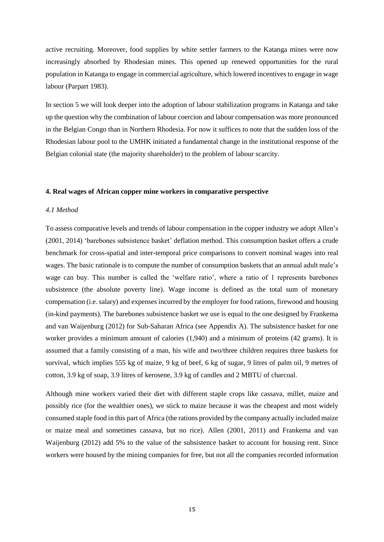active recruiting. Moreover, food supplies by white settler farmers to the Katanga mines were now increasingly absorbed by Rhodesian mines. This opened up renewed opportunities for the rural population in Katanga to engage in commercial agriculture, which lowered incentives to engage in wage labour (Parpart 1983).

In section 5 we will look deeper into the adoption of labour stabilization programs in Katanga and take up the question why the combination of labour coercion and labour compensation was more pronounced in the Belgian Congo than in Northern Rhodesia. For now it suffices to note that the sudden loss of the Rhodesian labour pool to the UMHK initiated a fundamental change in the institutional response of the Belgian colonial state (the majority shareholder) to the problem of labour scarcity.

#### **4. Real wages of African copper mine workers in comparative perspective**

## *4.1 Method*

To assess comparative levels and trends of labour compensation in the copper industry we adopt Allen's (2001, 2014) 'barebones subsistence basket' deflation method. This consumption basket offers a crude benchmark for cross-spatial and inter-temporal price comparisons to convert nominal wages into real wages. The basic rationale is to compute the number of consumption baskets that an annual adult male's wage can buy. This number is called the 'welfare ratio', where a ratio of 1 represents barebones subsistence (the absolute poverty line). Wage income is defined as the total sum of monetary compensation (i.e. salary) and expenses incurred by the employer for food rations, firewood and housing (in-kind payments). The barebones subsistence basket we use is equal to the one designed by Frankema and van Waijenburg (2012) for Sub-Saharan Africa (see Appendix A). The subsistence basket for one worker provides a minimum amount of calories (1,940) and a minimum of proteins (42 grams). It is assumed that a family consisting of a man, his wife and two/three children requires three baskets for survival, which implies 555 kg of maize, 9 kg of beef, 6 kg of sugar, 9 litres of palm oil, 9 metres of cotton, 3.9 kg of soap, 3.9 litres of kerosene, 3.9 kg of candles and 2 MBTU of charcoal.

Although mine workers varied their diet with different staple crops like cassava, millet, maize and possibly rice (for the wealthier ones), we stick to maize because it was the cheapest and most widely consumed staple food in this part of Africa (the rations provided by the company actually included maize or maize meal and sometimes cassava, but no rice). Allen (2001, 2011) and Frankema and van Waijenburg (2012) add 5% to the value of the subsistence basket to account for housing rent. Since workers were housed by the mining companies for free, but not all the companies recorded information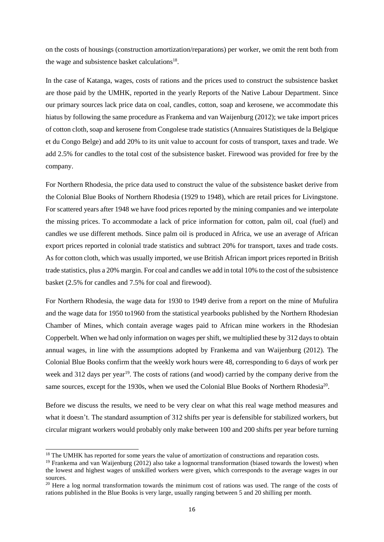on the costs of housings (construction amortization/reparations) per worker, we omit the rent both from the wage and subsistence basket calculations<sup>18</sup>.

In the case of Katanga, wages, costs of rations and the prices used to construct the subsistence basket are those paid by the UMHK, reported in the yearly Reports of the Native Labour Department. Since our primary sources lack price data on coal, candles, cotton, soap and kerosene, we accommodate this hiatus by following the same procedure as Frankema and van Waijenburg (2012); we take import prices of cotton cloth, soap and kerosene from Congolese trade statistics (Annuaires Statistiques de la Belgique et du Congo Belge) and add 20% to its unit value to account for costs of transport, taxes and trade. We add 2.5% for candles to the total cost of the subsistence basket. Firewood was provided for free by the company.

For Northern Rhodesia, the price data used to construct the value of the subsistence basket derive from the Colonial Blue Books of Northern Rhodesia (1929 to 1948), which are retail prices for Livingstone. For scattered years after 1948 we have food prices reported by the mining companies and we interpolate the missing prices. To accommodate a lack of price information for cotton, palm oil, coal (fuel) and candles we use different methods. Since palm oil is produced in Africa, we use an average of African export prices reported in colonial trade statistics and subtract 20% for transport, taxes and trade costs. As for cotton cloth, which was usually imported, we use British African import prices reported in British trade statistics, plus a 20% margin. For coal and candles we add in total 10% to the cost of the subsistence basket (2.5% for candles and 7.5% for coal and firewood).

For Northern Rhodesia, the wage data for 1930 to 1949 derive from a report on the mine of Mufulira and the wage data for 1950 to1960 from the statistical yearbooks published by the Northern Rhodesian Chamber of Mines, which contain average wages paid to African mine workers in the Rhodesian Copperbelt. When we had only information on wages per shift, we multiplied these by 312 days to obtain annual wages, in line with the assumptions adopted by Frankema and van Waijenburg (2012). The Colonial Blue Books confirm that the weekly work hours were 48, corresponding to 6 days of work per week and 312 days per year<sup>19</sup>. The costs of rations (and wood) carried by the company derive from the same sources, except for the 1930s, when we used the Colonial Blue Books of Northern Rhodesia<sup>20</sup>.

Before we discuss the results, we need to be very clear on what this real wage method measures and what it doesn't. The standard assumption of 312 shifts per year is defensible for stabilized workers, but circular migrant workers would probably only make between 100 and 200 shifts per year before turning

<sup>&</sup>lt;sup>18</sup> The UMHK has reported for some years the value of amortization of constructions and reparation costs.

<sup>&</sup>lt;sup>19</sup> Frankema and van Waijenburg (2012) also take a lognormal transformation (biased towards the lowest) when the lowest and highest wages of unskilled workers were given, which corresponds to the average wages in our sources.

<sup>&</sup>lt;sup>20</sup> Here a log normal transformation towards the minimum cost of rations was used. The range of the costs of rations published in the Blue Books is very large, usually ranging between 5 and 20 shilling per month.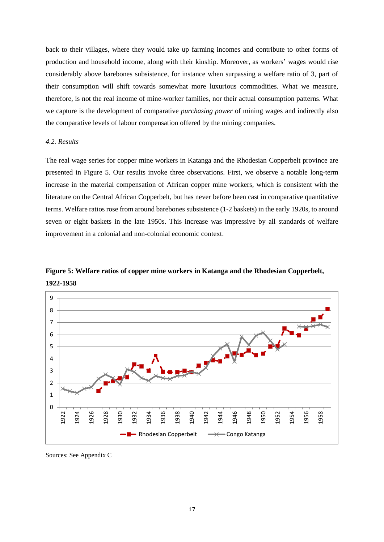back to their villages, where they would take up farming incomes and contribute to other forms of production and household income, along with their kinship. Moreover, as workers' wages would rise considerably above barebones subsistence, for instance when surpassing a welfare ratio of 3, part of their consumption will shift towards somewhat more luxurious commodities. What we measure, therefore, is not the real income of mine-worker families, nor their actual consumption patterns. What we capture is the development of comparative *purchasing power* of mining wages and indirectly also the comparative levels of labour compensation offered by the mining companies.

#### *4.2. Results*

The real wage series for copper mine workers in Katanga and the Rhodesian Copperbelt province are presented in Figure 5. Our results invoke three observations. First, we observe a notable long-term increase in the material compensation of African copper mine workers, which is consistent with the literature on the Central African Copperbelt, but has never before been cast in comparative quantitative terms. Welfare ratios rose from around barebones subsistence (1-2 baskets) in the early 1920s, to around seven or eight baskets in the late 1950s. This increase was impressive by all standards of welfare improvement in a colonial and non-colonial economic context.





Sources: See Appendix C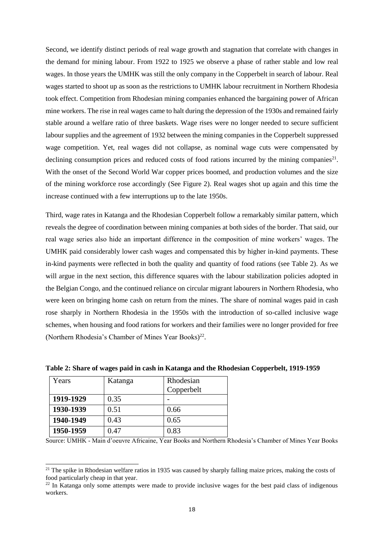Second, we identify distinct periods of real wage growth and stagnation that correlate with changes in the demand for mining labour. From 1922 to 1925 we observe a phase of rather stable and low real wages. In those years the UMHK was still the only company in the Copperbelt in search of labour. Real wages started to shoot up as soon as the restrictions to UMHK labour recruitment in Northern Rhodesia took effect. Competition from Rhodesian mining companies enhanced the bargaining power of African mine workers. The rise in real wages came to halt during the depression of the 1930s and remained fairly stable around a welfare ratio of three baskets. Wage rises were no longer needed to secure sufficient labour supplies and the agreement of 1932 between the mining companies in the Copperbelt suppressed wage competition. Yet, real wages did not collapse, as nominal wage cuts were compensated by declining consumption prices and reduced costs of food rations incurred by the mining companies $21$ . With the onset of the Second World War copper prices boomed, and production volumes and the size of the mining workforce rose accordingly (See Figure 2). Real wages shot up again and this time the increase continued with a few interruptions up to the late 1950s.

Third, wage rates in Katanga and the Rhodesian Copperbelt follow a remarkably similar pattern, which reveals the degree of coordination between mining companies at both sides of the border. That said, our real wage series also hide an important difference in the composition of mine workers' wages. The UMHK paid considerably lower cash wages and compensated this by higher in-kind payments. These in-kind payments were reflected in both the quality and quantity of food rations (see Table 2). As we will argue in the next section, this difference squares with the labour stabilization policies adopted in the Belgian Congo, and the continued reliance on circular migrant labourers in Northern Rhodesia, who were keen on bringing home cash on return from the mines. The share of nominal wages paid in cash rose sharply in Northern Rhodesia in the 1950s with the introduction of so-called inclusive wage schemes, when housing and food rations for workers and their families were no longer provided for free (Northern Rhodesia's Chamber of Mines Year Books)<sup>22</sup>.

| Years     | Katanga | Rhodesian  |
|-----------|---------|------------|
|           |         | Copperbelt |
| 1919-1929 | 0.35    |            |
| 1930-1939 | 0.51    | 0.66       |
| 1940-1949 | 0.43    | 0.65       |
| 1950-1959 | 0.47    | 0.83       |

-

**Table 2: Share of wages paid in cash in Katanga and the Rhodesian Copperbelt, 1919-1959**

Source: UMHK - Main d'oeuvre Africaine, Year Books and Northern Rhodesia's Chamber of Mines Year Books

 $21$  The spike in Rhodesian welfare ratios in 1935 was caused by sharply falling maize prices, making the costs of food particularly cheap in that year.

 $22$  In Katanga only some attempts were made to provide inclusive wages for the best paid class of indigenous workers.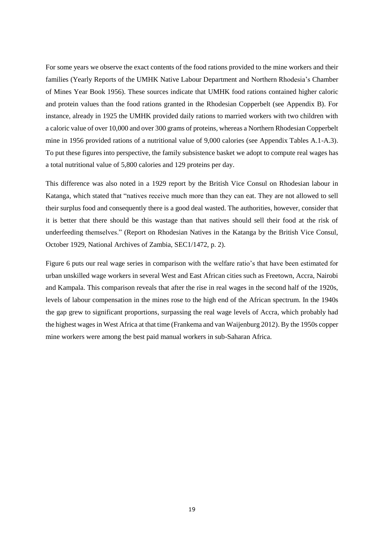For some years we observe the exact contents of the food rations provided to the mine workers and their families (Yearly Reports of the UMHK Native Labour Department and Northern Rhodesia's Chamber of Mines Year Book 1956). These sources indicate that UMHK food rations contained higher caloric and protein values than the food rations granted in the Rhodesian Copperbelt (see Appendix B). For instance, already in 1925 the UMHK provided daily rations to married workers with two children with a caloric value of over 10,000 and over 300 grams of proteins, whereas a Northern Rhodesian Copperbelt mine in 1956 provided rations of a nutritional value of 9,000 calories (see Appendix Tables A.1-A.3). To put these figures into perspective, the family subsistence basket we adopt to compute real wages has a total nutritional value of 5,800 calories and 129 proteins per day.

This difference was also noted in a 1929 report by the British Vice Consul on Rhodesian labour in Katanga, which stated that "natives receive much more than they can eat. They are not allowed to sell their surplus food and consequently there is a good deal wasted. The authorities, however, consider that it is better that there should be this wastage than that natives should sell their food at the risk of underfeeding themselves." (Report on Rhodesian Natives in the Katanga by the British Vice Consul, October 1929, National Archives of Zambia, SEC1/1472, p. 2).

Figure 6 puts our real wage series in comparison with the welfare ratio's that have been estimated for urban unskilled wage workers in several West and East African cities such as Freetown, Accra, Nairobi and Kampala. This comparison reveals that after the rise in real wages in the second half of the 1920s, levels of labour compensation in the mines rose to the high end of the African spectrum. In the 1940s the gap grew to significant proportions, surpassing the real wage levels of Accra, which probably had the highest wages in West Africa at that time (Frankema and van Waijenburg 2012). By the 1950s copper mine workers were among the best paid manual workers in sub-Saharan Africa.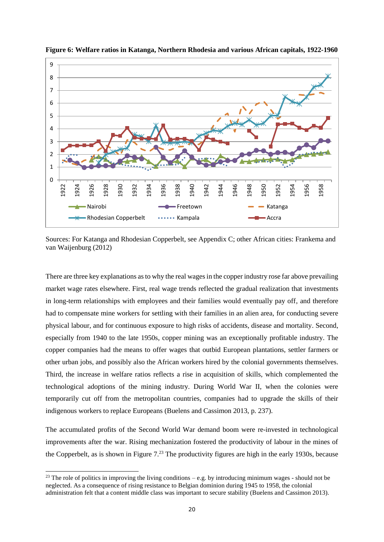

**Figure 6: Welfare ratios in Katanga, Northern Rhodesia and various African capitals, 1922-1960**

Sources: For Katanga and Rhodesian Copperbelt, see Appendix C; other African cities: Frankema and van Waijenburg (2012)

There are three key explanations as to why the real wages in the copper industry rose far above prevailing market wage rates elsewhere. First, real wage trends reflected the gradual realization that investments in long-term relationships with employees and their families would eventually pay off, and therefore had to compensate mine workers for settling with their families in an alien area, for conducting severe physical labour, and for continuous exposure to high risks of accidents, disease and mortality. Second, especially from 1940 to the late 1950s, copper mining was an exceptionally profitable industry. The copper companies had the means to offer wages that outbid European plantations, settler farmers or other urban jobs, and possibly also the African workers hired by the colonial governments themselves. Third, the increase in welfare ratios reflects a rise in acquisition of skills, which complemented the technological adoptions of the mining industry. During World War II, when the colonies were temporarily cut off from the metropolitan countries, companies had to upgrade the skills of their indigenous workers to replace Europeans (Buelens and Cassimon 2013, p. 237).

The accumulated profits of the Second World War demand boom were re-invested in technological improvements after the war. Rising mechanization fostered the productivity of labour in the mines of the Copperbelt, as is shown in Figure 7.<sup>23</sup> The productivity figures are high in the early 1930s, because

 $23$  The role of politics in improving the living conditions – e.g. by introducing minimum wages - should not be neglected. As a consequence of rising resistance to Belgian dominion during 1945 to 1958, the colonial administration felt that a content middle class was important to secure stability (Buelens and Cassimon 2013).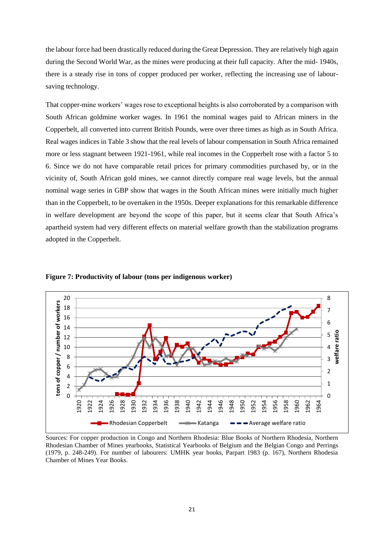the labour force had been drastically reduced during the Great Depression. They are relatively high again during the Second World War, as the mines were producing at their full capacity. After the mid- 1940s, there is a steady rise in tons of copper produced per worker, reflecting the increasing use of laboursaving technology.

That copper-mine workers' wages rose to exceptional heights is also corroborated by a comparison with South African goldmine worker wages. In 1961 the nominal wages paid to African miners in the Copperbelt, all converted into current British Pounds, were over three times as high as in South Africa. Real wages indices in Table 3 show that the real levels of labour compensation in South Africa remained more or less stagnant between 1921-1961, while real incomes in the Copperbelt rose with a factor 5 to 6. Since we do not have comparable retail prices for primary commodities purchased by, or in the vicinity of, South African gold mines, we cannot directly compare real wage levels, but the annual nominal wage series in GBP show that wages in the South African mines were initially much higher than in the Copperbelt, to be overtaken in the 1950s. Deeper explanations for this remarkable difference in welfare development are beyond the scope of this paper, but it seems clear that South Africa's apartheid system had very different effects on material welfare growth than the stabilization programs adopted in the Copperbelt.



**Figure 7: Productivity of labour (tons per indigenous worker)**

Sources: For copper production in Congo and Northern Rhodesia: Blue Books of Northern Rhodesia, Northern Rhodesian Chamber of Mines yearbooks, Statistical Yearbooks of Belgium and the Belgian Congo and Perrings (1979, p. 248-249). For number of labourers: UMHK year books, Parpart 1983 (p. 167), Northern Rhodesia Chamber of Mines Year Books.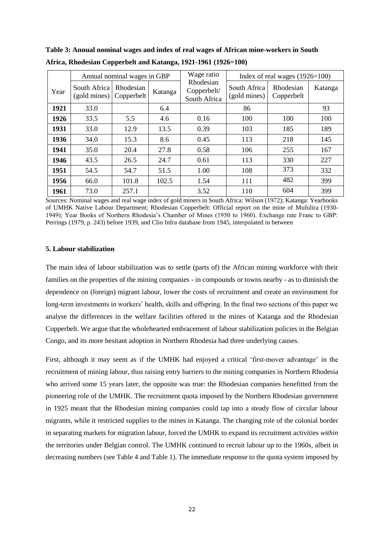|      | Annual nominal wages in GBP  |                         |         | Wage ratio                               | Index of real wages $(1926=100)$ |                         |         |  |
|------|------------------------------|-------------------------|---------|------------------------------------------|----------------------------------|-------------------------|---------|--|
| Year | South Africa<br>(gold mines) | Rhodesian<br>Copperbelt | Katanga | Rhodesian<br>Copperbelt/<br>South Africa | South Africa<br>(gold mines)     | Rhodesian<br>Copperbelt | Katanga |  |
| 1921 | 33.0                         |                         | 6.4     |                                          | 86                               |                         | 93      |  |
| 1926 | 33.5                         | 5.5                     | 4.6     | 0.16                                     | 100                              | 100                     | 100     |  |
| 1931 | 33.0                         | 12.9                    | 13.5    | 0.39                                     | 103                              | 185                     | 189     |  |
| 1936 | 34.0                         | 15.3                    | 8.6     | 0.45                                     | 113                              | 218                     | 145     |  |
| 1941 | 35.0                         | 20.4                    | 27.8    | 0.58                                     | 106                              | 255                     | 167     |  |
| 1946 | 43.5                         | 26.5                    | 24.7    | 0.61                                     | 113                              | 330                     | 227     |  |
| 1951 | 54.5                         | 54.7                    | 51.5    | 1.00                                     | 108                              | 373                     | 332     |  |
| 1956 | 66.0                         | 101.8                   | 102.5   | 1.54                                     | 111                              | 482                     | 399     |  |
| 1961 | 73.0                         | 257.1                   |         | 3.52                                     | 110                              | 604                     | 399     |  |

**Table 3: Annual nominal wages and index of real wages of African mine-workers in South Africa, Rhodesian Copperbelt and Katanga, 1921-1961 (1926=100)**

Sources: Nominal wages and real wage index of gold miners in South Africa: Wilson (1972); Katanga: Yearbooks of UMHK Native Labour Department; Rhodesian Copperbelt: Official report on the mine of Mufulira (1930- 1949); Year Books of Northern Rhodesia's Chamber of Mines (1950 to 1960). Exchange rate Franc to GBP: Perrings (1979, p. 243) before 1939, and Clio Infra database from 1945, interpolated in between

#### **5. Labour stabilization**

The main idea of labour stabilization was to settle (parts of) the African mining workforce with their families on the properties of the mining companies - in compounds or towns nearby - as to diminish the dependence on (foreign) migrant labour, lower the costs of recruitment and create an environment for long-term investments in workers' health, skills and offspring. In the final two sections of this paper we analyse the differences in the welfare facilities offered in the mines of Katanga and the Rhodesian Copperbelt. We argue that the wholehearted embracement of labour stabilization policies in the Belgian Congo, and its more hesitant adoption in Northern Rhodesia had three underlying causes.

First, although it may seem as if the UMHK had enjoyed a critical 'first-mover advantage' in the recruitment of mining labour, thus raising entry barriers to the mining companies in Northern Rhodesia who arrived some 15 years later, the opposite was true: the Rhodesian companies benefitted from the pioneering role of the UMHK. The recruitment quota imposed by the Northern Rhodesian government in 1925 meant that the Rhodesian mining companies could tap into a steady flow of circular labour migrants, while it restricted supplies to the mines in Katanga. The changing role of the colonial border in separating markets for migration labour, forced the UMHK to expand its recruitment activities *within*  the territories under Belgian control. The UMHK continued to recruit labour up to the 1960s, albeit in decreasing numbers (see Table 4 and Table 1). The immediate response to the quota system imposed by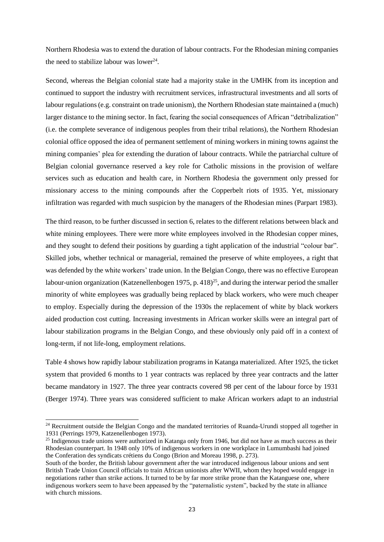Northern Rhodesia was to extend the duration of labour contracts. For the Rhodesian mining companies the need to stabilize labour was lower<sup>24</sup>.

Second, whereas the Belgian colonial state had a majority stake in the UMHK from its inception and continued to support the industry with recruitment services, infrastructural investments and all sorts of labour regulations (e.g. constraint on trade unionism), the Northern Rhodesian state maintained a (much) larger distance to the mining sector. In fact, fearing the social consequences of African "detribalization" (i.e. the complete severance of indigenous peoples from their tribal relations), the Northern Rhodesian colonial office opposed the idea of permanent settlement of mining workers in mining towns against the mining companies' plea for extending the duration of labour contracts. While the patriarchal culture of Belgian colonial governance reserved a key role for Catholic missions in the provision of welfare services such as education and health care, in Northern Rhodesia the government only pressed for missionary access to the mining compounds after the Copperbelt riots of 1935. Yet, missionary infiltration was regarded with much suspicion by the managers of the Rhodesian mines (Parpart 1983).

The third reason, to be further discussed in section 6, relates to the different relations between black and white mining employees. There were more white employees involved in the Rhodesian copper mines, and they sought to defend their positions by guarding a tight application of the industrial "colour bar". Skilled jobs, whether technical or managerial, remained the preserve of white employees, a right that was defended by the white workers' trade union. In the Belgian Congo, there was no effective European labour-union organization (Katzenellenbogen 1975, p. 418) $^{25}$ , and during the interwar period the smaller minority of white employees was gradually being replaced by black workers, who were much cheaper to employ. Especially during the depression of the 1930s the replacement of white by black workers aided production cost cutting. Increasing investments in African worker skills were an integral part of labour stabilization programs in the Belgian Congo, and these obviously only paid off in a context of long-term, if not life-long, employment relations.

Table 4 shows how rapidly labour stabilization programs in Katanga materialized. After 1925, the ticket system that provided 6 months to 1 year contracts was replaced by three year contracts and the latter became mandatory in 1927. The three year contracts covered 98 per cent of the labour force by 1931 (Berger 1974). Three years was considered sufficient to make African workers adapt to an industrial

<sup>&</sup>lt;sup>24</sup> Recruitment outside the Belgian Congo and the mandated territories of Ruanda-Urundi stopped all together in 1931 (Perrings 1979, Katzenellenbogen 1973).

<sup>&</sup>lt;sup>25</sup> Indigenous trade unions were authorized in Katanga only from 1946, but did not have as much success as their Rhodesian counterpart. In 1948 only 10% of indigenous workers in one workplace in Lumumbashi had joined the Conferation des syndicats crétiens du Congo (Brion and Moreau 1998, p. 273).

South of the border, the British labour government after the war introduced indigenous labour unions and sent British Trade Union Council officials to train African unionists after WWII, whom they hoped would engage in negotiations rather than strike actions. It turned to be by far more strike prone than the Katanguese one, where indigenous workers seem to have been appeased by the "paternalistic system", backed by the state in alliance with church missions.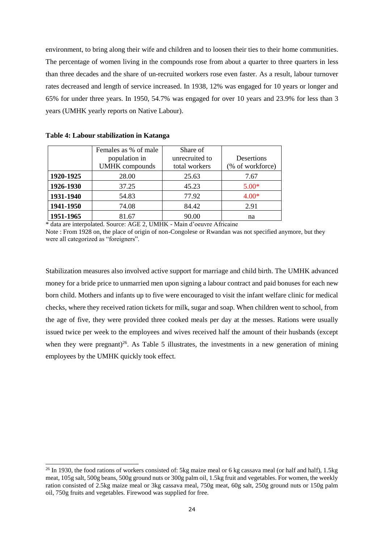environment, to bring along their wife and children and to loosen their ties to their home communities. The percentage of women living in the compounds rose from about a quarter to three quarters in less than three decades and the share of un-recruited workers rose even faster. As a result, labour turnover rates decreased and length of service increased. In 1938, 12% was engaged for 10 years or longer and 65% for under three years. In 1950, 54.7% was engaged for over 10 years and 23.9% for less than 3 years (UMHK yearly reports on Native Labour).

|           | Females as % of male  | Share of       |                   |
|-----------|-----------------------|----------------|-------------------|
|           | population in         | unrecruited to | <b>Desertions</b> |
|           | <b>UMHK</b> compounds | total workers  | (% of workforce)  |
| 1920-1925 | 28.00                 | 25.63          | 7.67              |
| 1926-1930 | 37.25                 | 45.23          | $5.00*$           |
| 1931-1940 | 54.83                 | 77.92          | $4.00*$           |
| 1941-1950 | 74.08                 | 84.42          | 2.91              |
| 1951-1965 | 81.67                 | 90.00          | na                |

|  |  |  |  |  |  |  | Table 4: Labour stabilization in Katanga |
|--|--|--|--|--|--|--|------------------------------------------|
|--|--|--|--|--|--|--|------------------------------------------|

-

\* data are interpolated. Source: AGE 2, UMHK - Main d'oeuvre Africaine

Note : From 1928 on, the place of origin of non-Congolese or Rwandan was not specified anymore, but they were all categorized as "foreigners".

Stabilization measures also involved active support for marriage and child birth. The UMHK advanced money for a bride price to unmarried men upon signing a labour contract and paid bonuses for each new born child. Mothers and infants up to five were encouraged to visit the infant welfare clinic for medical checks, where they received ration tickets for milk, sugar and soap. When children went to school, from the age of five, they were provided three cooked meals per day at the messes. Rations were usually issued twice per week to the employees and wives received half the amount of their husbands (except when they were pregnant)<sup>26</sup>. As Table 5 illustrates, the investments in a new generation of mining employees by the UMHK quickly took effect.

<sup>&</sup>lt;sup>26</sup> In 1930, the food rations of workers consisted of: 5kg maize meal or 6 kg cassava meal (or half and half), 1.5kg meat, 105g salt, 500g beans, 500g ground nuts or 300g palm oil, 1.5kg fruit and vegetables. For women, the weekly ration consisted of 2.5kg maize meal or 3kg cassava meal, 750g meat, 60g salt, 250g ground nuts or 150g palm oil, 750g fruits and vegetables. Firewood was supplied for free.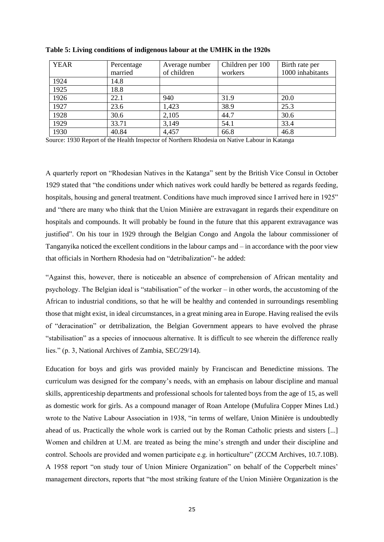| <b>YEAR</b> | Percentage | Average number | Children per 100 | Birth rate per   |
|-------------|------------|----------------|------------------|------------------|
|             | married    | of children    | workers          | 1000 inhabitants |
| 1924        | 14.8       |                |                  |                  |
| 1925        | 18.8       |                |                  |                  |
| 1926        | 22.1       | 940            | 31.9             | 20.0             |
| 1927        | 23.6       | 1,423          | 38.9             | 25.3             |
| 1928        | 30.6       | 2,105          | 44.7             | 30.6             |
| 1929        | 33.71      | 3,149          | 54.1             | 33.4             |
| 1930        | 40.84      | 4,457          | 66.8             | 46.8             |

**Table 5: Living conditions of indigenous labour at the UMHK in the 1920s**

Source: 1930 Report of the Health Inspector of Northern Rhodesia on Native Labour in Katanga

A quarterly report on "Rhodesian Natives in the Katanga" sent by the British Vice Consul in October 1929 stated that "the conditions under which natives work could hardly be bettered as regards feeding, hospitals, housing and general treatment. Conditions have much improved since I arrived here in 1925" and "there are many who think that the Union Minière are extravagant in regards their expenditure on hospitals and compounds. It will probably be found in the future that this apparent extravagance was justified". On his tour in 1929 through the Belgian Congo and Angola the labour commissioner of Tanganyika noticed the excellent conditions in the labour camps and – in accordance with the poor view that officials in Northern Rhodesia had on "detribalization"- he added:

"Against this, however, there is noticeable an absence of comprehension of African mentality and psychology. The Belgian ideal is "stabilisation" of the worker – in other words, the accustoming of the African to industrial conditions, so that he will be healthy and contended in surroundings resembling those that might exist, in ideal circumstances, in a great mining area in Europe. Having realised the evils of "deracination" or detribalization, the Belgian Government appears to have evolved the phrase "stabilisation" as a species of innocuous alternative. It is difficult to see wherein the difference really lies." (p. 3, National Archives of Zambia, SEC/29/14).

Education for boys and girls was provided mainly by Franciscan and Benedictine missions. The curriculum was designed for the company's needs, with an emphasis on labour discipline and manual skills, apprenticeship departments and professional schools for talented boys from the age of 15, as well as domestic work for girls. As a compound manager of Roan Antelope (Mufulira Copper Mines Ltd.) wrote to the Native Labour Association in 1938, "in terms of welfare, Union Minière is undoubtedly ahead of us. Practically the whole work is carried out by the Roman Catholic priests and sisters [...] Women and children at U.M. are treated as being the mine's strength and under their discipline and control. Schools are provided and women participate e.g. in horticulture" (ZCCM Archives, 10.7.10B). A 1958 report "on study tour of Union Miniere Organization" on behalf of the Copperbelt mines' management directors, reports that "the most striking feature of the Union Minière Organization is the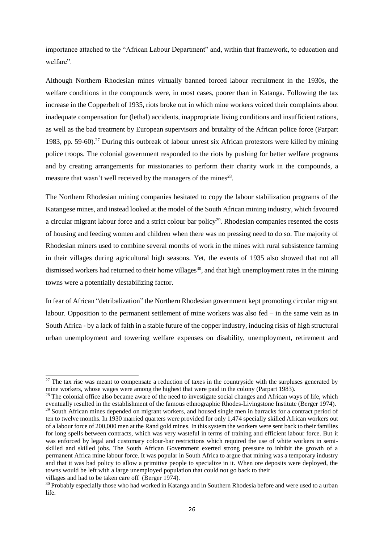importance attached to the "African Labour Department" and, within that framework, to education and welfare".

Although Northern Rhodesian mines virtually banned forced labour recruitment in the 1930s, the welfare conditions in the compounds were, in most cases, poorer than in Katanga. Following the tax increase in the Copperbelt of 1935, riots broke out in which mine workers voiced their complaints about inadequate compensation for (lethal) accidents, inappropriate living conditions and insufficient rations, as well as the bad treatment by European supervisors and brutality of the African police force (Parpart 1983, pp. 59-60).<sup>27</sup> During this outbreak of labour unrest six African protestors were killed by mining police troops. The colonial government responded to the riots by pushing for better welfare programs and by creating arrangements for missionaries to perform their charity work in the compounds, a measure that wasn't well received by the managers of the mines<sup>28</sup>.

The Northern Rhodesian mining companies hesitated to copy the labour stabilization programs of the Katangese mines, and instead looked at the model of the South African mining industry, which favoured a circular migrant labour force and a strict colour bar policy<sup>29</sup>. Rhodesian companies resented the costs of housing and feeding women and children when there was no pressing need to do so. The majority of Rhodesian miners used to combine several months of work in the mines with rural subsistence farming in their villages during agricultural high seasons. Yet, the events of 1935 also showed that not all dismissed workers had returned to their home villages<sup>30</sup>, and that high unemployment rates in the mining towns were a potentially destabilizing factor.

In fear of African "detribalization" the Northern Rhodesian government kept promoting circular migrant labour. Opposition to the permanent settlement of mine workers was also fed – in the same vein as in South Africa - by a lack of faith in a stable future of the copper industry, inducing risks of high structural urban unemployment and towering welfare expenses on disability, unemployment, retirement and

 $27$  The tax rise was meant to compensate a reduction of taxes in the countryside with the surpluses generated by mine workers, whose wages were among the highest that were paid in the colony (Parpart 1983).

 $28$  The colonial office also became aware of the need to investigate social changes and African ways of life, which eventually resulted in the establishment of the famous ethnographic Rhodes-Livingstone Institute (Berger 1974).

<sup>&</sup>lt;sup>29</sup> South African mines depended on migrant workers, and housed single men in barracks for a contract period of ten to twelve months. In 1930 married quarters were provided for only 1,474 specially skilled African workers out of a labour force of 200,000 men at the Rand gold mines. In this system the workers were sent back to their families for long spells between contracts, which was very wasteful in terms of training and efficient labour force. But it was enforced by legal and customary colour-bar restrictions which required the use of white workers in semiskilled and skilled jobs. The South African Government exerted strong pressure to inhibit the growth of a permanent Africa mine labour force. It was popular in South Africa to argue that mining was a temporary industry and that it was bad policy to allow a primitive people to specialize in it. When ore deposits were deployed, the towns would be left with a large unemployed population that could not go back to their

villages and had to be taken care off (Berger 1974).

<sup>&</sup>lt;sup>30</sup> Probably especially those who had worked in Katanga and in Southern Rhodesia before and were used to a urban life.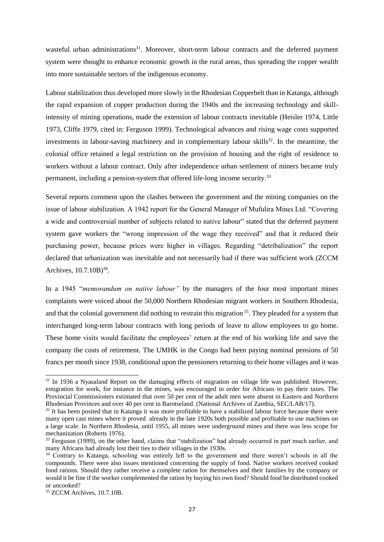wasteful urban administrations<sup>31</sup>. Moreover, short-term labour contracts and the deferred payment system were thought to enhance economic growth in the rural areas, thus spreading the copper wealth into more sustainable sectors of the indigenous economy.

Labour stabilization thus developed more slowly in the Rhodesian Copperbelt than in Katanga, although the rapid expansion of copper production during the 1940s and the increasing technology and skillintensity of mining operations, made the extension of labour contracts inevitable (Heisler 1974, Little 1973, Cliffe 1979, cited in: Ferguson 1999). Technological advances and rising wage costs supported investments in labour-saving machinery and in complementary labour skills $^{32}$ . In the meantime, the colonial office retained a legal restriction on the provision of housing and the right of residence to workers without a labour contract. Only after independence urban settlement of miners became truly permanent, including a pension-system that offered life-long income security.<sup>33</sup>

Several reports comment upon the clashes between the government and the mining companies on the issue of labour stabilization. A 1942 report for the General Manager of Mufulira Mines Ltd. "Covering a wide and controversial number of subjects related to native labour" stated that the deferred payment system gave workers the "wrong impression of the wage they received" and that it reduced their purchasing power, because prices were higher in villages. Regarding "detribalization" the report declared that urbanization was inevitable and not necessarily bad if there was sufficient work (ZCCM Archives,  $10.7.10B$ <sup>34</sup>.

In a 1945 "*memorandum on native labour"* by the managers of the four most important mines complaints were voiced about the 50,000 Northern Rhodesian migrant workers in Southern Rhodesia, and that the colonial government did nothing to restrain this migration <sup>35</sup>. They pleaded for a system that interchanged long-term labour contracts with long periods of leave to allow employees to go home. These home visits would facilitate the employees' return at the end of his working life and save the company the costs of retirement. The UMHK in the Congo had been paying nominal pensions of 50 francs per month since 1938, conditional upon the pensioners returning to their home villages and it was

<sup>&</sup>lt;sup>31</sup> In 1936 a Nyasaland Report on the damaging effects of migration on village life was published. However, emigration for work, for instance in the mines, was encouraged in order for Africans to pay their taxes. The Provincial Commissioners estimated that over 50 per cent of the adult men were absent in Eastern and Northern Rhodesian Provinces and over 40 per cent in Barotseland. (National Archives of Zambia, SEC/LAB/17).

<sup>&</sup>lt;sup>32</sup> It has been posited that in Katanga it was more profitable to have a stabilized labour force because there were many open cast mines where it proved already in the late 1920s both possible and profitable to use machines on a large scale. In Northern Rhodesia, until 1955, all mines were underground mines and there was less scope for mechanization (Roberts 1976).

<sup>&</sup>lt;sup>33</sup> Ferguson (1999), on the other hand, claims that "stabilization" had already occurred in part much earlier, and many Africans had already lost their ties to their villages in the 1930s.

<sup>&</sup>lt;sup>34</sup> Contrary to Katanga, schooling was entirely left to the government and there weren't schools in all the compounds. There were also issues mentioned concerning the supply of food. Native workers received cooked food rations. Should they rather receive a complete ration for themselves and their families by the company or would it be fine if the worker complemented the ration by buying his own food? Should food be distributed cooked or uncooked?

<sup>&</sup>lt;sup>35</sup> ZCCM Archives, 10.7.10B.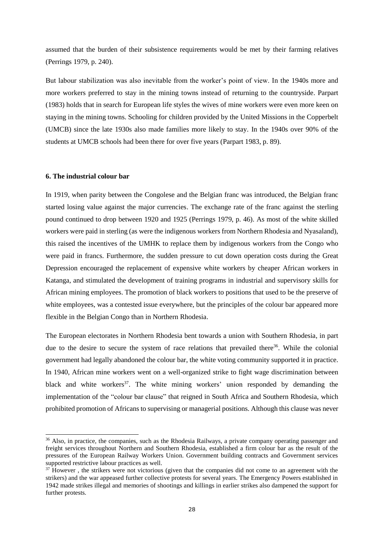assumed that the burden of their subsistence requirements would be met by their farming relatives (Perrings 1979, p. 240).

But labour stabilization was also inevitable from the worker's point of view. In the 1940s more and more workers preferred to stay in the mining towns instead of returning to the countryside. Parpart (1983) holds that in search for European life styles the wives of mine workers were even more keen on staying in the mining towns. Schooling for children provided by the United Missions in the Copperbelt (UMCB) since the late 1930s also made families more likely to stay. In the 1940s over 90% of the students at UMCB schools had been there for over five years (Parpart 1983, p. 89).

### **6. The industrial colour bar**

-

In 1919, when parity between the Congolese and the Belgian franc was introduced, the Belgian franc started losing value against the major currencies. The exchange rate of the franc against the sterling pound continued to drop between 1920 and 1925 (Perrings 1979, p. 46). As most of the white skilled workers were paid in sterling (as were the indigenous workers from Northern Rhodesia and Nyasaland), this raised the incentives of the UMHK to replace them by indigenous workers from the Congo who were paid in francs. Furthermore, the sudden pressure to cut down operation costs during the Great Depression encouraged the replacement of expensive white workers by cheaper African workers in Katanga, and stimulated the development of training programs in industrial and supervisory skills for African mining employees. The promotion of black workers to positions that used to be the preserve of white employees, was a contested issue everywhere, but the principles of the colour bar appeared more flexible in the Belgian Congo than in Northern Rhodesia.

The European electorates in Northern Rhodesia bent towards a union with Southern Rhodesia, in part due to the desire to secure the system of race relations that prevailed there<sup>36</sup>. While the colonial government had legally abandoned the colour bar, the white voting community supported it in practice. In 1940, African mine workers went on a well-organized strike to fight wage discrimination between black and white workers<sup>37</sup>. The white mining workers' union responded by demanding the implementation of the "colour bar clause" that reigned in South Africa and Southern Rhodesia, which prohibited promotion of Africans to supervising or managerial positions. Although this clause was never

<sup>&</sup>lt;sup>36</sup> Also, in practice, the companies, such as the Rhodesia Railways, a private company operating passenger and freight services throughout Northern and Southern Rhodesia, established a firm colour bar as the result of the pressures of the European Railway Workers Union. Government building contracts and Government services supported restrictive labour practices as well.

<sup>&</sup>lt;sup>37</sup> However, the strikers were not victorious (given that the companies did not come to an agreement with the strikers) and the war appeased further collective protests for several years. The Emergency Powers established in 1942 made strikes illegal and memories of shootings and killings in earlier strikes also dampened the support for further protests.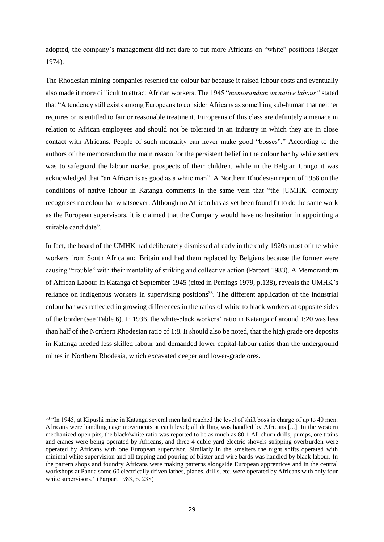adopted, the company's management did not dare to put more Africans on "white" positions (Berger 1974).

The Rhodesian mining companies resented the colour bar because it raised labour costs and eventually also made it more difficult to attract African workers. The 1945 "*memorandum on native labour"* stated that "A tendency still exists among Europeans to consider Africans as something sub-human that neither requires or is entitled to fair or reasonable treatment. Europeans of this class are definitely a menace in relation to African employees and should not be tolerated in an industry in which they are in close contact with Africans. People of such mentality can never make good "bosses"." According to the authors of the memorandum the main reason for the persistent belief in the colour bar by white settlers was to safeguard the labour market prospects of their children, while in the Belgian Congo it was acknowledged that "an African is as good as a white man". A Northern Rhodesian report of 1958 on the conditions of native labour in Katanga comments in the same vein that "the [UMHK] company recognises no colour bar whatsoever. Although no African has as yet been found fit to do the same work as the European supervisors, it is claimed that the Company would have no hesitation in appointing a suitable candidate".

In fact, the board of the UMHK had deliberately dismissed already in the early 1920s most of the white workers from South Africa and Britain and had them replaced by Belgians because the former were causing "trouble" with their mentality of striking and collective action (Parpart 1983). A Memorandum of African Labour in Katanga of September 1945 (cited in Perrings 1979, p.138), reveals the UMHK's reliance on indigenous workers in supervising positions<sup>38</sup>. The different application of the industrial colour bar was reflected in growing differences in the ratios of white to black workers at opposite sides of the border (see Table 6). In 1936, the white-black workers' ratio in Katanga of around 1:20 was less than half of the Northern Rhodesian ratio of 1:8. It should also be noted, that the high grade ore deposits in Katanga needed less skilled labour and demanded lower capital-labour ratios than the underground mines in Northern Rhodesia, which excavated deeper and lower-grade ores.

<sup>&</sup>lt;sup>38</sup> "In 1945, at Kipushi mine in Katanga several men had reached the level of shift boss in charge of up to 40 men. Africans were handling cage movements at each level; all drilling was handled by Africans [...]. In the western mechanized open pits, the black/white ratio was reported to be as much as 80:1.All churn drills, pumps, ore trains and cranes were being operated by Africans, and three 4 cubic yard electric shovels stripping overburden were operated by Africans with one European supervisor. Similarly in the smelters the night shifts operated with minimal white supervision and all tapping and pouring of blister and wire bards was handled by black labour. In the pattern shops and foundry Africans were making patterns alongside European apprentices and in the central workshops at Panda some 60 electrically driven lathes, planes, drills, etc. were operated by Africans with only four white supervisors." (Parpart 1983, p. 238)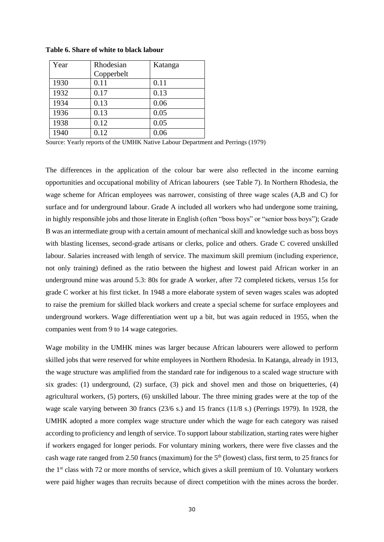| Year | Rhodesian  | Katanga |
|------|------------|---------|
|      | Copperbelt |         |
| 1930 | 0.11       | 0.11    |
| 1932 | 0.17       | 0.13    |
| 1934 | 0.13       | 0.06    |
| 1936 | 0.13       | 0.05    |
| 1938 | 0.12       | 0.05    |
| 1940 | 0.12       | 0.06    |

**Table 6. Share of white to black labour**

Source: Yearly reports of the UMHK Native Labour Department and Perrings (1979)

The differences in the application of the colour bar were also reflected in the income earning opportunities and occupational mobility of African labourers (see Table 7). In Northern Rhodesia, the wage scheme for African employees was narrower, consisting of three wage scales (A,B and C) for surface and for underground labour. Grade A included all workers who had undergone some training, in highly responsible jobs and those literate in English (often "boss boys" or "senior boss boys"); Grade B was an intermediate group with a certain amount of mechanical skill and knowledge such as boss boys with blasting licenses, second-grade artisans or clerks, police and others. Grade C covered unskilled labour. Salaries increased with length of service. The maximum skill premium (including experience, not only training) defined as the ratio between the highest and lowest paid African worker in an underground mine was around 5.3: 80*s* for grade A worker, after 72 completed tickets, versus 15*s* for grade C worker at his first ticket. In 1948 a more elaborate system of seven wages scales was adopted to raise the premium for skilled black workers and create a special scheme for surface employees and underground workers. Wage differentiation went up a bit, but was again reduced in 1955, when the companies went from 9 to 14 wage categories.

Wage mobility in the UMHK mines was larger because African labourers were allowed to perform skilled jobs that were reserved for white employees in Northern Rhodesia. In Katanga, already in 1913, the wage structure was amplified from the standard rate for indigenous to a scaled wage structure with six grades: (1) underground, (2) surface, (3) pick and shovel men and those on briquetteries, (4) agricultural workers, (5) porters, (6) unskilled labour. The three mining grades were at the top of the wage scale varying between 30 francs (23/6 s.) and 15 francs (11/8 s.) (Perrings 1979). In 1928, the UMHK adopted a more complex wage structure under which the wage for each category was raised according to proficiency and length of service. To support labour stabilization, starting rates were higher if workers engaged for longer periods. For voluntary mining workers, there were five classes and the cash wage rate ranged from 2.50 francs (maximum) for the 5<sup>th</sup> (lowest) class, first term, to 25 francs for the 1<sup>st</sup> class with 72 or more months of service, which gives a skill premium of 10. Voluntary workers were paid higher wages than recruits because of direct competition with the mines across the border.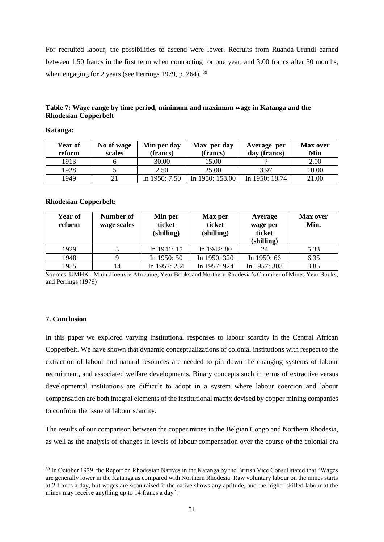For recruited labour, the possibilities to ascend were lower. Recruits from Ruanda-Urundi earned between 1.50 francs in the first term when contracting for one year, and 3.00 francs after 30 months, when engaging for 2 years (see Perrings 1979, p. 264). <sup>39</sup>

| Table 7: Wage range by time period, minimum and maximum wage in Katanga and the |  |
|---------------------------------------------------------------------------------|--|
| <b>Rhodesian Copperbelt</b>                                                     |  |

**Katanga:**

| <b>Year of</b><br>reform | No of wage<br>scales | Min per day<br>(francs) | Max per day<br>(francs) | Average per<br>day (francs) | <b>Max over</b><br>Min |
|--------------------------|----------------------|-------------------------|-------------------------|-----------------------------|------------------------|
| 1913                     |                      | 30.00                   | 15.00                   |                             | 2.00                   |
| 1928                     |                      | 2.50                    | 25.00                   | 3.97                        | 10.00                  |
| 1949                     |                      | In $1950:7.50$          | In 1950: 158.00         | In 1950: 18.74              | 21.00                  |

#### **Rhodesian Copperbelt:**

| <b>Year of</b><br>reform | Number of<br>wage scales | Min per<br>ticket<br>(shilling) | Max per<br>ticket<br>(shilling) | Average<br>wage per<br>ticket<br>(shilling) | <b>Max over</b><br>Min. |
|--------------------------|--------------------------|---------------------------------|---------------------------------|---------------------------------------------|-------------------------|
| 1929                     |                          | In $1941:15$                    | In 1942: 80                     | 24                                          | 5.33                    |
| 1948                     |                          | In 1950: 50                     | In 1950: 320                    | In 1950: 66                                 | 6.35                    |
| 1955                     | 14                       | In 1957: 234                    | In 1957: 924                    | In 1957: 303                                | 3.85                    |

Sources: UMHK - Main d'oeuvre Africaine, Year Books and Northern Rhodesia's Chamber of Mines Year Books, and Perrings (1979)

## **7. Conclusion**

-

In this paper we explored varying institutional responses to labour scarcity in the Central African Copperbelt. We have shown that dynamic conceptualizations of colonial institutions with respect to the extraction of labour and natural resources are needed to pin down the changing systems of labour recruitment, and associated welfare developments. Binary concepts such in terms of extractive versus developmental institutions are difficult to adopt in a system where labour coercion and labour compensation are both integral elements of the institutional matrix devised by copper mining companies to confront the issue of labour scarcity.

The results of our comparison between the copper mines in the Belgian Congo and Northern Rhodesia, as well as the analysis of changes in levels of labour compensation over the course of the colonial era

<sup>&</sup>lt;sup>39</sup> In October 1929, the Report on Rhodesian Natives in the Katanga by the British Vice Consul stated that "Wages" are generally lower in the Katanga as compared with Northern Rhodesia. Raw voluntary labour on the mines starts at 2 francs a day, but wages are soon raised if the native shows any aptitude, and the higher skilled labour at the mines may receive anything up to 14 francs a day".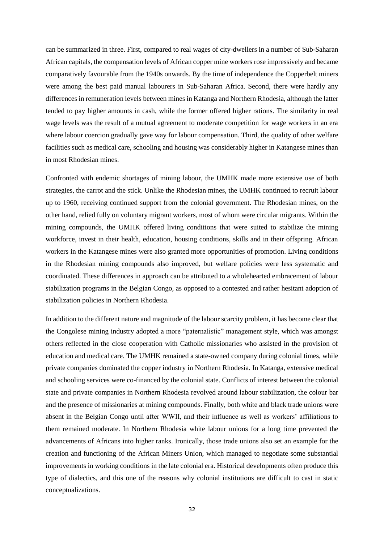can be summarized in three. First, compared to real wages of city-dwellers in a number of Sub-Saharan African capitals, the compensation levels of African copper mine workers rose impressively and became comparatively favourable from the 1940s onwards. By the time of independence the Copperbelt miners were among the best paid manual labourers in Sub-Saharan Africa. Second, there were hardly any differences in remuneration levels between mines in Katanga and Northern Rhodesia, although the latter tended to pay higher amounts in cash, while the former offered higher rations. The similarity in real wage levels was the result of a mutual agreement to moderate competition for wage workers in an era where labour coercion gradually gave way for labour compensation. Third, the quality of other welfare facilities such as medical care, schooling and housing was considerably higher in Katangese mines than in most Rhodesian mines.

Confronted with endemic shortages of mining labour, the UMHK made more extensive use of both strategies, the carrot and the stick. Unlike the Rhodesian mines, the UMHK continued to recruit labour up to 1960, receiving continued support from the colonial government. The Rhodesian mines, on the other hand, relied fully on voluntary migrant workers, most of whom were circular migrants. Within the mining compounds, the UMHK offered living conditions that were suited to stabilize the mining workforce, invest in their health, education, housing conditions, skills and in their offspring. African workers in the Katangese mines were also granted more opportunities of promotion. Living conditions in the Rhodesian mining compounds also improved, but welfare policies were less systematic and coordinated. These differences in approach can be attributed to a wholehearted embracement of labour stabilization programs in the Belgian Congo, as opposed to a contested and rather hesitant adoption of stabilization policies in Northern Rhodesia.

In addition to the different nature and magnitude of the labour scarcity problem, it has become clear that the Congolese mining industry adopted a more "paternalistic" management style, which was amongst others reflected in the close cooperation with Catholic missionaries who assisted in the provision of education and medical care. The UMHK remained a state-owned company during colonial times, while private companies dominated the copper industry in Northern Rhodesia. In Katanga, extensive medical and schooling services were co-financed by the colonial state. Conflicts of interest between the colonial state and private companies in Northern Rhodesia revolved around labour stabilization, the colour bar and the presence of missionaries at mining compounds. Finally, both white and black trade unions were absent in the Belgian Congo until after WWII, and their influence as well as workers' affiliations to them remained moderate. In Northern Rhodesia white labour unions for a long time prevented the advancements of Africans into higher ranks. Ironically, those trade unions also set an example for the creation and functioning of the African Miners Union, which managed to negotiate some substantial improvements in working conditions in the late colonial era. Historical developments often produce this type of dialectics, and this one of the reasons why colonial institutions are difficult to cast in static conceptualizations.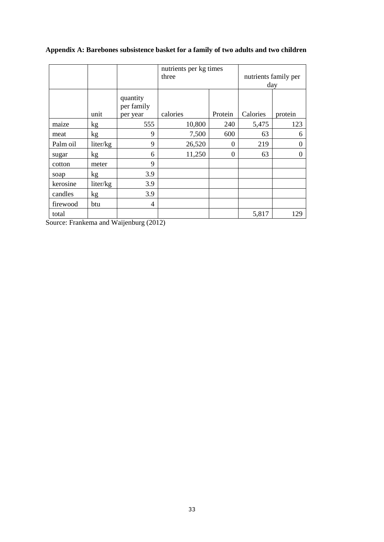|  | Appendix A: Barebones subsistence basket for a family of two adults and two children |  |  |  |  |
|--|--------------------------------------------------------------------------------------|--|--|--|--|
|  |                                                                                      |  |  |  |  |

|          |                 |                                    | nutrients per kg times<br>three |          | nutrients family per<br>day |          |  |
|----------|-----------------|------------------------------------|---------------------------------|----------|-----------------------------|----------|--|
|          | unit            | quantity<br>per family<br>per year | calories                        | Protein  | Calories                    | protein  |  |
| maize    | kg              | 555                                | 10,800                          | 240      | 5,475                       | 123      |  |
| meat     | kg              | 9                                  | 7,500                           | 600      | 63                          | 6        |  |
| Palm oil | liter/kg        | 9                                  | 26,520                          | $\theta$ | 219                         | $\theta$ |  |
| sugar    | kg <sub>2</sub> | 6                                  | 11,250                          | $\theta$ | 63                          | $\theta$ |  |
| cotton   | meter           | 9                                  |                                 |          |                             |          |  |
| soap     | kg              | 3.9                                |                                 |          |                             |          |  |
| kerosine | liter/kg        | 3.9                                |                                 |          |                             |          |  |
| candles  | kg              | 3.9                                |                                 |          |                             |          |  |
| firewood | btu             | 4                                  |                                 |          |                             |          |  |
| total    |                 |                                    |                                 |          | 5,817                       | 129      |  |

Source: Frankema and Waijenburg (2012)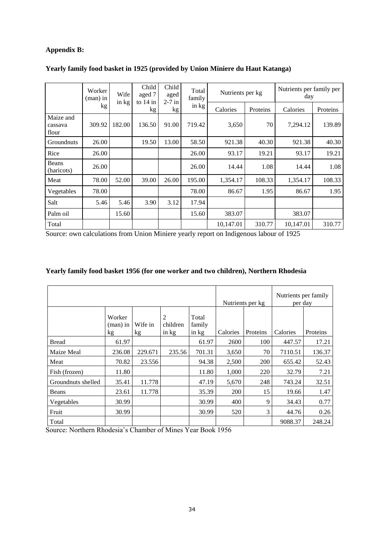# **Appendix B:**

|                               | Worker<br>(man) in<br>kg | Wife<br>$\frac{\sin k}{g}$ | Child<br>aged 7<br>to $14$ in<br>kg | Child<br>aged<br>$2-7$ in<br>kg <sub>2</sub> | Total<br>family<br>in kg | Nutrients per kg |          | Nutrients per family per<br>day |          |
|-------------------------------|--------------------------|----------------------------|-------------------------------------|----------------------------------------------|--------------------------|------------------|----------|---------------------------------|----------|
|                               |                          |                            |                                     |                                              |                          | Calories         | Proteins | Calories                        | Proteins |
| Maize and<br>cassava<br>flour | 309.92                   | 182.00                     | 136.50                              | 91.00                                        | 719.42                   | 3,650            | 70       | 7,294.12                        | 139.89   |
| Groundnuts                    | 26.00                    |                            | 19.50                               | 13.00                                        | 58.50                    | 921.38           | 40.30    | 921.38                          | 40.30    |
| Rice                          | 26.00                    |                            |                                     |                                              | 26.00                    | 93.17            | 19.21    | 93.17                           | 19.21    |
| Beans<br>(haricots)           | 26.00                    |                            |                                     |                                              | 26.00                    | 14.44            | 1.08     | 14.44                           | 1.08     |
| Meat                          | 78.00                    | 52.00                      | 39.00                               | 26.00                                        | 195.00                   | 1,354.17         | 108.33   | 1,354.17                        | 108.33   |
| Vegetables                    | 78.00                    |                            |                                     |                                              | 78.00                    | 86.67            | 1.95     | 86.67                           | 1.95     |
| Salt                          | 5.46                     | 5.46                       | 3.90                                | 3.12                                         | 17.94                    |                  |          |                                 |          |
| Palm oil                      |                          | 15.60                      |                                     |                                              | 15.60                    | 383.07           |          | 383.07                          |          |
| Total                         |                          |                            |                                     |                                              |                          | 10,147.01        | 310.77   | 10,147.01                       | 310.77   |

# **Yearly family food basket in 1925 (provided by Union Miniere du Haut Katanga)**

Source: own calculations from Union Miniere yearly report on Indigenous labour of 1925

|                    |                          |               |                        |                          | Nutrients per kg |          | Nutrients per family<br>per day |          |
|--------------------|--------------------------|---------------|------------------------|--------------------------|------------------|----------|---------------------------------|----------|
|                    | Worker<br>(man) in<br>kg | Wife in<br>kg | 2<br>children<br>in kg | Total<br>family<br>in kg | Calories         | Proteins | Calories                        | Proteins |
| <b>Bread</b>       | 61.97                    |               |                        | 61.97                    | 2600             | 100      | 447.57                          | 17.21    |
| Maize Meal         | 236.08                   | 229.671       | 235.56                 | 701.31                   | 3,650            | 70       | 7110.51                         | 136.37   |
| Meat               | 70.82                    | 23.556        |                        | 94.38                    | 2,500            | 200      | 655.42                          | 52.43    |
| Fish (frozen)      | 11.80                    |               |                        | 11.80                    | 1,000            | 220      | 32.79                           | 7.21     |
| Groundnuts shelled | 35.41                    | 11.778        |                        | 47.19                    | 5,670            | 248      | 743.24                          | 32.51    |
| Beans              | 23.61                    | 11.778        |                        | 35.39                    | 200              | 15       | 19.66                           | 1.47     |
| Vegetables         | 30.99                    |               |                        | 30.99                    | 400              | 9        | 34.43                           | 0.77     |
| Fruit              | 30.99                    |               |                        | 30.99                    | 520              | 3        | 44.76                           | 0.26     |
| Total              |                          |               |                        |                          |                  |          | 9088.37                         | 248.24   |

# **Yearly family food basket 1956 (for one worker and two children), Northern Rhodesia**

Source: Northern Rhodesia's Chamber of Mines Year Book 1956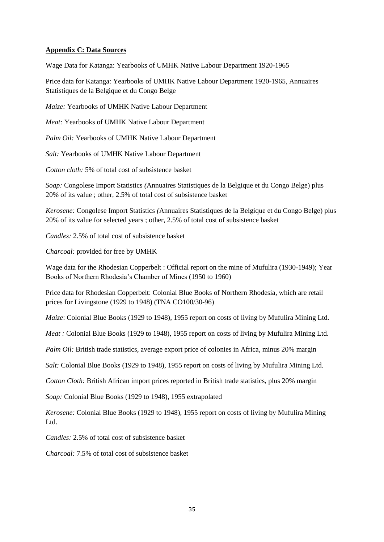## **Appendix C: Data Sources**

Wage Data for Katanga: Yearbooks of UMHK Native Labour Department 1920-1965

Price data for Katanga: Yearbooks of UMHK Native Labour Department 1920-1965, Annuaires Statistiques de la Belgique et du Congo Belge

*Maize:* Yearbooks of UMHK Native Labour Department

*Meat:* Yearbooks of UMHK Native Labour Department

*Palm Oil:* Yearbooks of UMHK Native Labour Department

*Salt:* Yearbooks of UMHK Native Labour Department

*Cotton cloth:* 5% of total cost of subsistence basket

*Soap:* Congolese Import Statistics *(*Annuaires Statistiques de la Belgique et du Congo Belge) plus 20% of its value ; other, 2.5% of total cost of subsistence basket

*Kerosene:* Congolese Import Statistics *(*Annuaires Statistiques de la Belgique et du Congo Belge) plus 20% of its value for selected years ; other, 2.5% of total cost of subsistence basket

*Candles:* 2.5% of total cost of subsistence basket

*Charcoal:* provided for free by UMHK

Wage data for the Rhodesian Copperbelt : Official report on the mine of Mufulira (1930-1949); Year Books of Northern Rhodesia's Chamber of Mines (1950 to 1960)

Price data for Rhodesian Copperbelt: Colonial Blue Books of Northern Rhodesia, which are retail prices for Livingstone (1929 to 1948) (TNA CO100/30-96)

*Maize*: Colonial Blue Books (1929 to 1948), 1955 report on costs of living by Mufulira Mining Ltd.

*Meat* : Colonial Blue Books (1929 to 1948), 1955 report on costs of living by Mufulira Mining Ltd.

*Palm Oil:* British trade statistics, average export price of colonies in Africa, minus 20% margin

*Salt:* Colonial Blue Books (1929 to 1948), 1955 report on costs of living by Mufulira Mining Ltd.

*Cotton Cloth:* British African import prices reported in British trade statistics, plus 20% margin

*Soap:* Colonial Blue Books (1929 to 1948), 1955 extrapolated

*Kerosene:* Colonial Blue Books (1929 to 1948), 1955 report on costs of living by Mufulira Mining Ltd.

*Candles:* 2.5% of total cost of subsistence basket

*Charcoal:* 7.5% of total cost of subsistence basket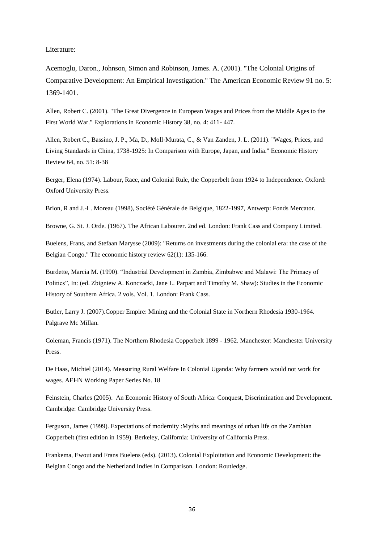#### Literature:

Acemoglu, Daron., Johnson, Simon and Robinson, James. A. (2001). "The Colonial Origins of Comparative Development: An Empirical Investigation." The American Economic Review 91 no. 5: 1369-1401.

Allen, Robert C. (2001). "The Great Divergence in European Wages and Prices from the Middle Ages to the First World War." Explorations in Economic History 38, no. 4: 411- 447.

Allen, Robert C., Bassino, J. P., Ma, D., Moll‐Murata, C., & Van Zanden, J. L. (2011). "Wages, Prices, and Living Standards in China, 1738-1925: In Comparison with Europe, Japan, and India." Economic History Review 64, no. 51: 8-38

Berger, Elena (1974). Labour, Race, and Colonial Rule, the Copperbelt from 1924 to Independence. Oxford: Oxford University Press.

Brion, R and J.-L. Moreau (1998), Société Générale de Belgique, 1822-1997, Antwerp: Fonds Mercator.

Browne, G. St. J. Orde. (1967). The African Labourer. 2nd ed. London: Frank Cass and Company Limited.

Buelens, Frans, and Stefaan Marysse (2009): "Returns on investments during the colonial era: the case of the Belgian Congo." The economic history review 62(1): 135-166.

Burdette, Marcia M. (1990). "Industrial Development in Zambia, Zimbabwe and Malawi: The Primacy of Politics", In: (ed. Zbigniew A. Konczacki, Jane L. Parpart and Timothy M. Shaw): Studies in the Economic History of Southern Africa. 2 vols. Vol. 1. London: Frank Cass.

Butler, Larry J. (2007).Copper Empire: Mining and the Colonial State in Northern Rhodesia 1930-1964. Palgrave Mc Millan.

Coleman, Francis (1971). The Northern Rhodesia Copperbelt 1899 - 1962. Manchester: Manchester University Press.

De Haas, Michiel (2014). Measuring Rural Welfare In Colonial Uganda: Why farmers would not work for wages. AEHN Working Paper Series No. 18

Feinstein, Charles (2005). An Economic History of South Africa: Conquest, Discrimination and Development. Cambridge: Cambridge University Press.

Ferguson, James (1999). Expectations of modernity :Myths and meanings of urban life on the Zambian Copperbelt (first edition in 1959). Berkeley, California: University of California Press.

Frankema, Ewout and Frans Buelens (eds). (2013). Colonial Exploitation and Economic Development: the Belgian Congo and the Netherland Indies in Comparison. London: Routledge.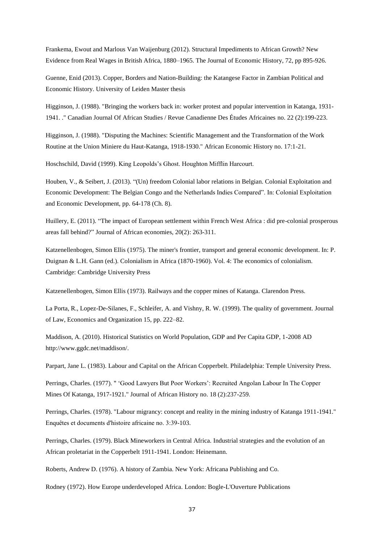Frankema, Ewout and Marlous Van Waijenburg (2012). Structural Impediments to African Growth? New Evidence from Real Wages in British Africa, 1880–1965. The Journal of Economic History, 72, pp 895-926.

Guenne, Enid (2013). Copper, Borders and Nation-Building: the Katangese Factor in Zambian Political and Economic History. University of Leiden Master thesis

Higginson, J. (1988). "Bringing the workers back in: worker protest and popular intervention in Katanga, 1931- 1941. ." Canadian Journal Of African Studies / Revue Canadienne Des Études Africaines no. 22 (2):199-223.

Higginson, J. (1988). "Disputing the Machines: Scientific Management and the Transformation of the Work Routine at the Union Miniere du Haut-Katanga, 1918-1930." African Economic History no. 17:1-21.

Hoschschild, David (1999). King Leopolds's Ghost. Houghton Mifflin Harcourt.

Houben, V., & Seibert, J. (2013). "(Un) freedom Colonial labor relations in Belgian. Colonial Exploitation and Economic Development: The Belgian Congo and the Netherlands Indies Compared". In: Colonial Exploitation and Economic Development, pp. 64-178 (Ch. 8).

Huillery, E. (2011). "The impact of European settlement within French West Africa : did pre-colonial prosperous areas fall behind?" Journal of African economies, 20(2): 263-311.

Katzenellenbogen, Simon Ellis (1975). The miner's frontier, transport and general economic development. In: P. Duignan & L.H. Gann (ed.). Colonialism in Africa (1870-1960). Vol. 4: The economics of colonialism. Cambridge: Cambridge University Press

Katzenellenbogen, Simon Ellis (1973). Railways and the copper mines of Katanga. Clarendon Press.

La Porta, R., Lopez-De-Silanes, F., Schleifer, A. and Vishny, R. W. (1999). The quality of government. Journal of Law, Economics and Organization 15, pp. 222–82.

Maddison, A. (2010). Historical Statistics on World Population, GDP and Per Capita GDP, 1-2008 AD http://www.ggdc.net/maddison/.

Parpart, Jane L. (1983). Labour and Capital on the African Copperbelt. Philadelphia: Temple University Press.

Perrings, Charles. (1977). " 'Good Lawyers But Poor Workers': Recruited Angolan Labour In The Copper Mines Of Katanga, 1917-1921." Journal of African History no. 18 (2):237-259.

Perrings, Charles. (1978). "Labour migrancy: concept and reality in the mining industry of Katanga 1911-1941." Enquêtes et documents d'histoire africaine no. 3:39-103.

Perrings, Charles. (1979). Black Mineworkers in Central Africa. Industrial strategies and the evolution of an African proletariat in the Copperbelt 1911-1941. London: Heinemann.

Roberts, Andrew D. (1976). A history of Zambia. New York: Africana Publishing and Co.

Rodney (1972). How Europe underdeveloped Africa. London: Bogle-L'Ouverture Publications